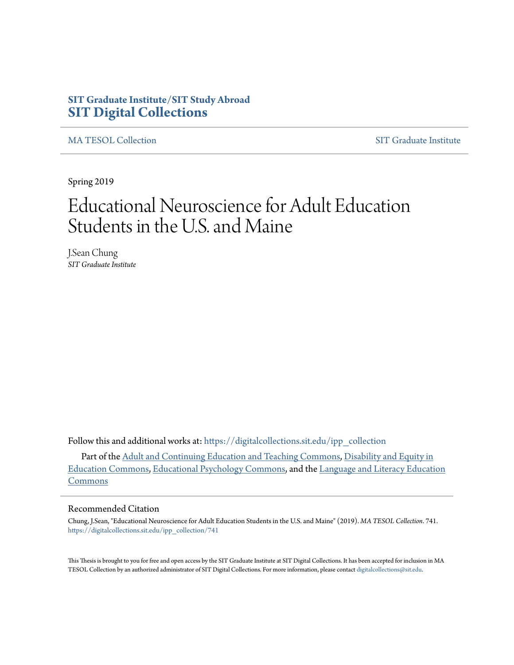# **SIT Graduate Institute/SIT Study Abroad [SIT Digital Collections](https://digitalcollections.sit.edu?utm_source=digitalcollections.sit.edu%2Fipp_collection%2F741&utm_medium=PDF&utm_campaign=PDFCoverPages)**

[MA TESOL Collection](https://digitalcollections.sit.edu/ipp_collection?utm_source=digitalcollections.sit.edu%2Fipp_collection%2F741&utm_medium=PDF&utm_campaign=PDFCoverPages) [SIT Graduate Institute](https://digitalcollections.sit.edu/graduate_institute?utm_source=digitalcollections.sit.edu%2Fipp_collection%2F741&utm_medium=PDF&utm_campaign=PDFCoverPages)

Spring 2019

# Educational Neuroscience for Adult Education Students in the U.S. and Maine

J.Sean Chung *SIT Graduate Institute*

Follow this and additional works at: [https://digitalcollections.sit.edu/ipp\\_collection](https://digitalcollections.sit.edu/ipp_collection?utm_source=digitalcollections.sit.edu%2Fipp_collection%2F741&utm_medium=PDF&utm_campaign=PDFCoverPages)

Part of the [Adult and Continuing Education and Teaching Commons](http://network.bepress.com/hgg/discipline/804?utm_source=digitalcollections.sit.edu%2Fipp_collection%2F741&utm_medium=PDF&utm_campaign=PDFCoverPages), [Disability and Equity in](http://network.bepress.com/hgg/discipline/1040?utm_source=digitalcollections.sit.edu%2Fipp_collection%2F741&utm_medium=PDF&utm_campaign=PDFCoverPages) [Education Commons](http://network.bepress.com/hgg/discipline/1040?utm_source=digitalcollections.sit.edu%2Fipp_collection%2F741&utm_medium=PDF&utm_campaign=PDFCoverPages), [Educational Psychology Commons,](http://network.bepress.com/hgg/discipline/798?utm_source=digitalcollections.sit.edu%2Fipp_collection%2F741&utm_medium=PDF&utm_campaign=PDFCoverPages) and the [Language and Literacy Education](http://network.bepress.com/hgg/discipline/1380?utm_source=digitalcollections.sit.edu%2Fipp_collection%2F741&utm_medium=PDF&utm_campaign=PDFCoverPages) [Commons](http://network.bepress.com/hgg/discipline/1380?utm_source=digitalcollections.sit.edu%2Fipp_collection%2F741&utm_medium=PDF&utm_campaign=PDFCoverPages)

#### Recommended Citation

Chung, J.Sean, "Educational Neuroscience for Adult Education Students in the U.S. and Maine" (2019). *MA TESOL Collection*. 741. [https://digitalcollections.sit.edu/ipp\\_collection/741](https://digitalcollections.sit.edu/ipp_collection/741?utm_source=digitalcollections.sit.edu%2Fipp_collection%2F741&utm_medium=PDF&utm_campaign=PDFCoverPages)

This Thesis is brought to you for free and open access by the SIT Graduate Institute at SIT Digital Collections. It has been accepted for inclusion in MA TESOL Collection by an authorized administrator of SIT Digital Collections. For more information, please contact [digitalcollections@sit.edu.](mailto:digitalcollections@sit.edu)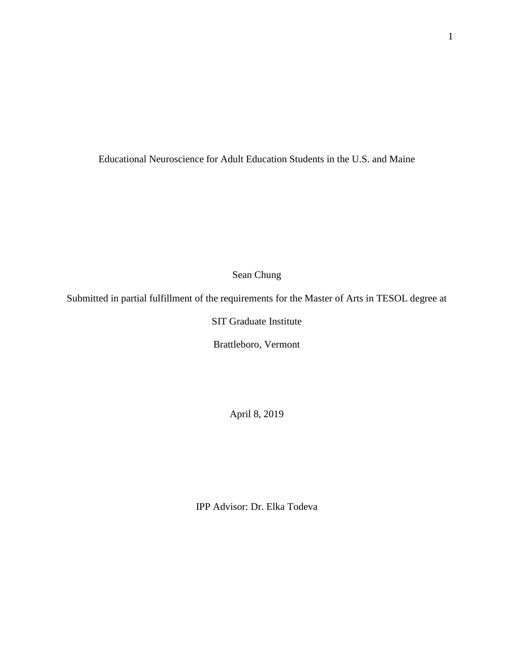Educational Neuroscience for Adult Education Students in the U.S. and Maine

Sean Chung

Submitted in partial fulfillment of the requirements for the Master of Arts in TESOL degree at

SIT Graduate Institute

Brattleboro, Vermont

April 8, 2019

IPP Advisor: Dr. Elka Todeva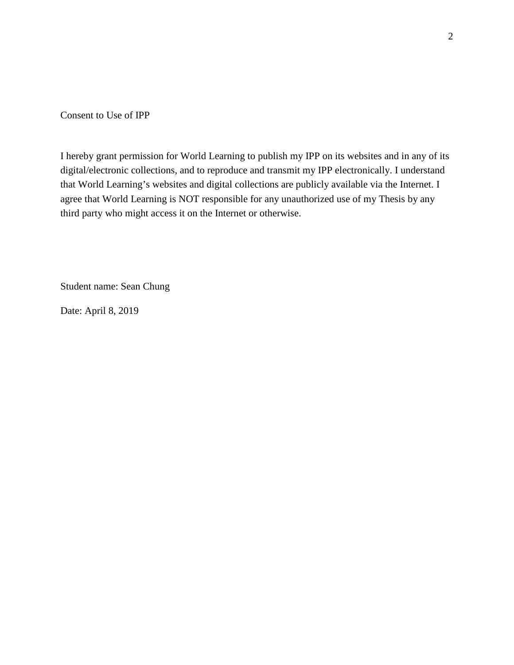Consent to Use of IPP

I hereby grant permission for World Learning to publish my IPP on its websites and in any of its digital/electronic collections, and to reproduce and transmit my IPP electronically. I understand that World Learning's websites and digital collections are publicly available via the Internet. I agree that World Learning is NOT responsible for any unauthorized use of my Thesis by any third party who might access it on the Internet or otherwise.

Student name: Sean Chung

Date: April 8, 2019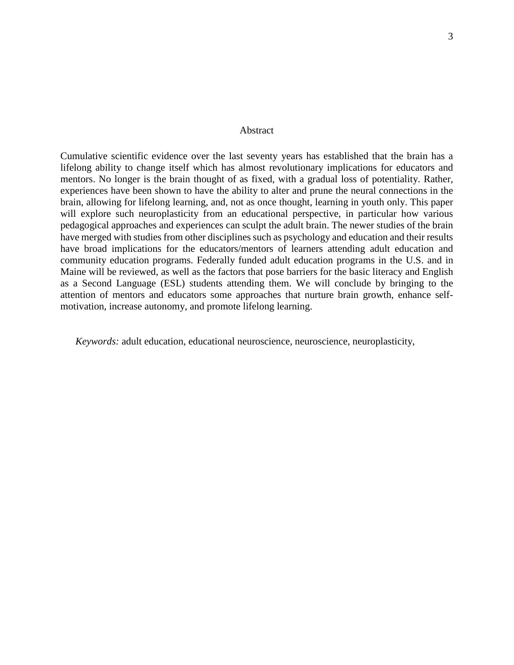#### Abstract

Cumulative scientific evidence over the last seventy years has established that the brain has a lifelong ability to change itself which has almost revolutionary implications for educators and mentors. No longer is the brain thought of as fixed, with a gradual loss of potentiality. Rather, experiences have been shown to have the ability to alter and prune the neural connections in the brain, allowing for lifelong learning, and, not as once thought, learning in youth only. This paper will explore such neuroplasticity from an educational perspective, in particular how various pedagogical approaches and experiences can sculpt the adult brain. The newer studies of the brain have merged with studies from other disciplines such as psychology and education and their results have broad implications for the educators/mentors of learners attending adult education and community education programs. Federally funded adult education programs in the U.S. and in Maine will be reviewed, as well as the factors that pose barriers for the basic literacy and English as a Second Language (ESL) students attending them. We will conclude by bringing to the attention of mentors and educators some approaches that nurture brain growth, enhance selfmotivation, increase autonomy, and promote lifelong learning.

*Keywords:* adult education, educational neuroscience, neuroscience, neuroplasticity,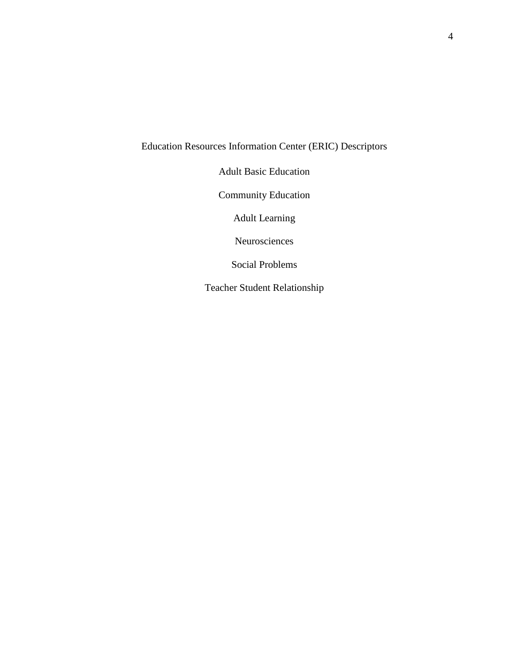# Education Resources Information Center (ERIC) Descriptors

Adult Basic Education

Community Education

Adult Learning

Neurosciences

Social Problems

Teacher Student Relationship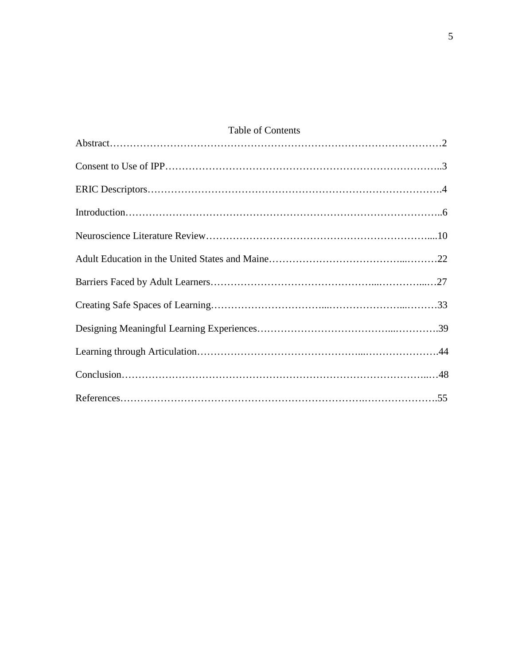| Table of Contents |  |  |  |  |
|-------------------|--|--|--|--|
|                   |  |  |  |  |
|                   |  |  |  |  |
|                   |  |  |  |  |
|                   |  |  |  |  |
|                   |  |  |  |  |
|                   |  |  |  |  |
|                   |  |  |  |  |
|                   |  |  |  |  |
|                   |  |  |  |  |
|                   |  |  |  |  |
|                   |  |  |  |  |
|                   |  |  |  |  |

5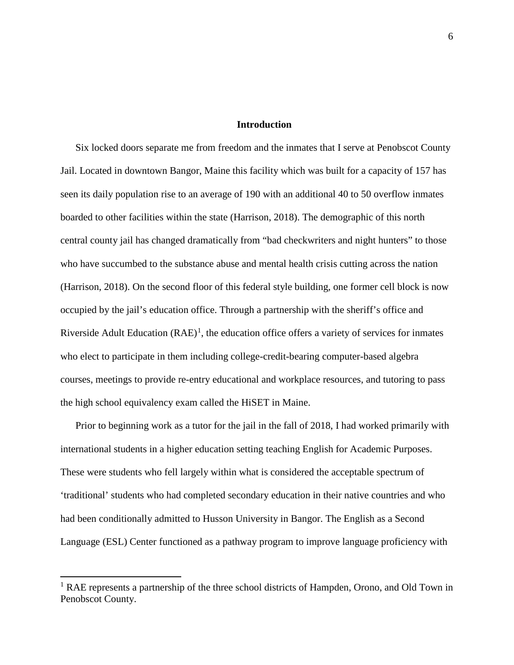# **Introduction**

Six locked doors separate me from freedom and the inmates that I serve at Penobscot County Jail. Located in downtown Bangor, Maine this facility which was built for a capacity of 157 has seen its daily population rise to an average of 190 with an additional 40 to 50 overflow inmates boarded to other facilities within the state (Harrison, 2018). The demographic of this north central county jail has changed dramatically from "bad checkwriters and night hunters" to those who have succumbed to the substance abuse and mental health crisis cutting across the nation (Harrison, 2018). On the second floor of this federal style building, one former cell block is now occupied by the jail's education office. Through a partnership with the sheriff's office and Riverside Adult Education  $(RAE)^1$  $(RAE)^1$ , the education office offers a variety of services for inmates who elect to participate in them including college-credit-bearing computer-based algebra courses, meetings to provide re-entry educational and workplace resources, and tutoring to pass the high school equivalency exam called the HiSET in Maine.

Prior to beginning work as a tutor for the jail in the fall of 2018, I had worked primarily with international students in a higher education setting teaching English for Academic Purposes. These were students who fell largely within what is considered the acceptable spectrum of 'traditional' students who had completed secondary education in their native countries and who had been conditionally admitted to Husson University in Bangor. The English as a Second Language (ESL) Center functioned as a pathway program to improve language proficiency with

<span id="page-6-0"></span><sup>&</sup>lt;sup>1</sup> RAE represents a partnership of the three school districts of Hampden, Orono, and Old Town in Penobscot County.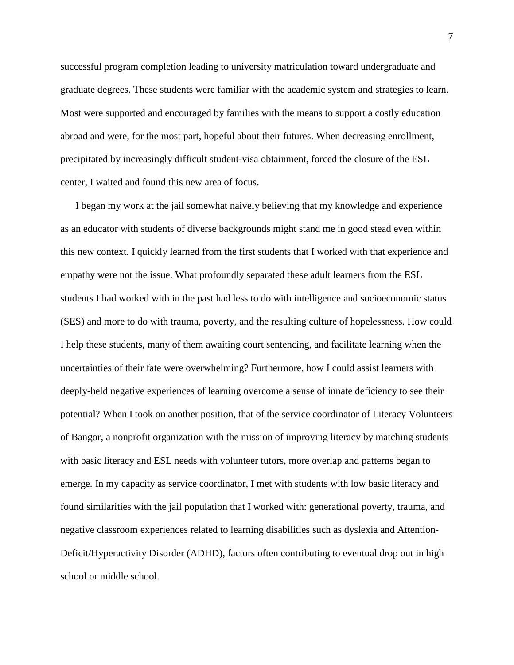successful program completion leading to university matriculation toward undergraduate and graduate degrees. These students were familiar with the academic system and strategies to learn. Most were supported and encouraged by families with the means to support a costly education abroad and were, for the most part, hopeful about their futures. When decreasing enrollment, precipitated by increasingly difficult student-visa obtainment, forced the closure of the ESL center, I waited and found this new area of focus.

I began my work at the jail somewhat naively believing that my knowledge and experience as an educator with students of diverse backgrounds might stand me in good stead even within this new context. I quickly learned from the first students that I worked with that experience and empathy were not the issue. What profoundly separated these adult learners from the ESL students I had worked with in the past had less to do with intelligence and socioeconomic status (SES) and more to do with trauma, poverty, and the resulting culture of hopelessness. How could I help these students, many of them awaiting court sentencing, and facilitate learning when the uncertainties of their fate were overwhelming? Furthermore, how I could assist learners with deeply-held negative experiences of learning overcome a sense of innate deficiency to see their potential? When I took on another position, that of the service coordinator of Literacy Volunteers of Bangor, a nonprofit organization with the mission of improving literacy by matching students with basic literacy and ESL needs with volunteer tutors, more overlap and patterns began to emerge. In my capacity as service coordinator, I met with students with low basic literacy and found similarities with the jail population that I worked with: generational poverty, trauma, and negative classroom experiences related to learning disabilities such as dyslexia and Attention-Deficit/Hyperactivity Disorder (ADHD), factors often contributing to eventual drop out in high school or middle school.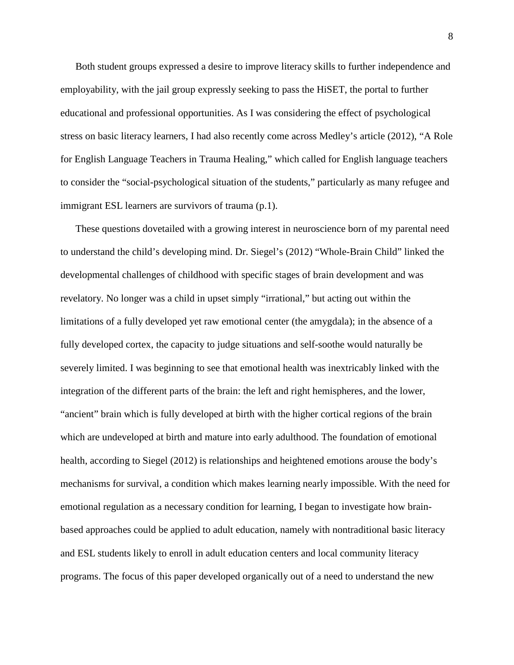Both student groups expressed a desire to improve literacy skills to further independence and employability, with the jail group expressly seeking to pass the HiSET, the portal to further educational and professional opportunities. As I was considering the effect of psychological stress on basic literacy learners, I had also recently come across Medley's article (2012), "A Role for English Language Teachers in Trauma Healing," which called for English language teachers to consider the "social-psychological situation of the students," particularly as many refugee and immigrant ESL learners are survivors of trauma (p.1).

These questions dovetailed with a growing interest in neuroscience born of my parental need to understand the child's developing mind. Dr. Siegel's (2012) "Whole-Brain Child" linked the developmental challenges of childhood with specific stages of brain development and was revelatory. No longer was a child in upset simply "irrational," but acting out within the limitations of a fully developed yet raw emotional center (the amygdala); in the absence of a fully developed cortex, the capacity to judge situations and self-soothe would naturally be severely limited. I was beginning to see that emotional health was inextricably linked with the integration of the different parts of the brain: the left and right hemispheres, and the lower, "ancient" brain which is fully developed at birth with the higher cortical regions of the brain which are undeveloped at birth and mature into early adulthood. The foundation of emotional health, according to Siegel (2012) is relationships and heightened emotions arouse the body's mechanisms for survival, a condition which makes learning nearly impossible. With the need for emotional regulation as a necessary condition for learning, I began to investigate how brainbased approaches could be applied to adult education, namely with nontraditional basic literacy and ESL students likely to enroll in adult education centers and local community literacy programs. The focus of this paper developed organically out of a need to understand the new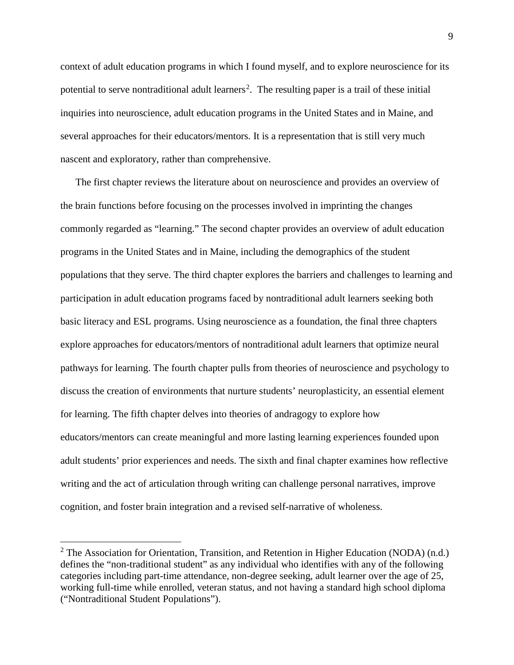context of adult education programs in which I found myself, and to explore neuroscience for its potential to serve nontraditional adult learners<sup>[2](#page-9-0)</sup>. The resulting paper is a trail of these initial inquiries into neuroscience, adult education programs in the United States and in Maine, and several approaches for their educators/mentors. It is a representation that is still very much nascent and exploratory, rather than comprehensive.

The first chapter reviews the literature about on neuroscience and provides an overview of the brain functions before focusing on the processes involved in imprinting the changes commonly regarded as "learning." The second chapter provides an overview of adult education programs in the United States and in Maine, including the demographics of the student populations that they serve. The third chapter explores the barriers and challenges to learning and participation in adult education programs faced by nontraditional adult learners seeking both basic literacy and ESL programs. Using neuroscience as a foundation, the final three chapters explore approaches for educators/mentors of nontraditional adult learners that optimize neural pathways for learning. The fourth chapter pulls from theories of neuroscience and psychology to discuss the creation of environments that nurture students' neuroplasticity, an essential element for learning. The fifth chapter delves into theories of andragogy to explore how educators/mentors can create meaningful and more lasting learning experiences founded upon adult students' prior experiences and needs. The sixth and final chapter examines how reflective writing and the act of articulation through writing can challenge personal narratives, improve cognition, and foster brain integration and a revised self-narrative of wholeness.

<span id="page-9-0"></span><sup>&</sup>lt;sup>2</sup> The Association for Orientation, Transition, and Retention in Higher Education (NODA) (n.d.) defines the "non-traditional student" as any individual who identifies with any of the following categories including part-time attendance, non-degree seeking, adult learner over the age of 25, working full-time while enrolled, veteran status, and not having a standard high school diploma ("Nontraditional Student Populations").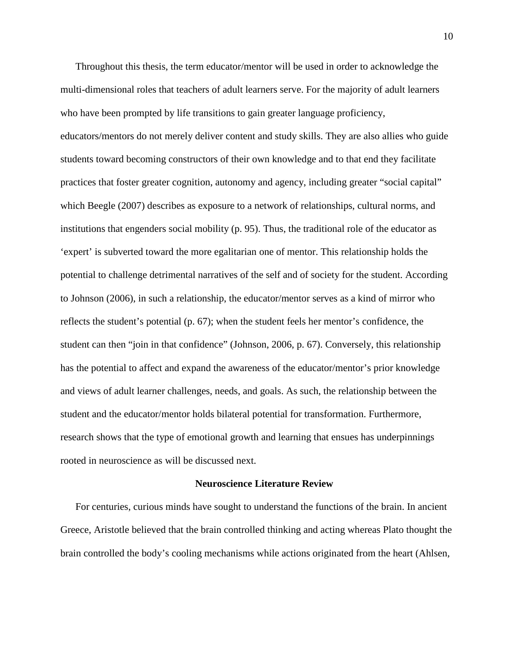Throughout this thesis, the term educator/mentor will be used in order to acknowledge the multi-dimensional roles that teachers of adult learners serve. For the majority of adult learners who have been prompted by life transitions to gain greater language proficiency, educators/mentors do not merely deliver content and study skills. They are also allies who guide students toward becoming constructors of their own knowledge and to that end they facilitate practices that foster greater cognition, autonomy and agency, including greater "social capital" which Beegle (2007) describes as exposure to a network of relationships, cultural norms, and institutions that engenders social mobility (p. 95). Thus, the traditional role of the educator as 'expert' is subverted toward the more egalitarian one of mentor. This relationship holds the potential to challenge detrimental narratives of the self and of society for the student. According to Johnson (2006), in such a relationship, the educator/mentor serves as a kind of mirror who reflects the student's potential (p. 67); when the student feels her mentor's confidence, the student can then "join in that confidence" (Johnson, 2006, p. 67). Conversely, this relationship has the potential to affect and expand the awareness of the educator/mentor's prior knowledge and views of adult learner challenges, needs, and goals. As such, the relationship between the student and the educator/mentor holds bilateral potential for transformation. Furthermore, research shows that the type of emotional growth and learning that ensues has underpinnings rooted in neuroscience as will be discussed next.

#### **Neuroscience Literature Review**

For centuries, curious minds have sought to understand the functions of the brain. In ancient Greece, Aristotle believed that the brain controlled thinking and acting whereas Plato thought the brain controlled the body's cooling mechanisms while actions originated from the heart (Ahlsen,

10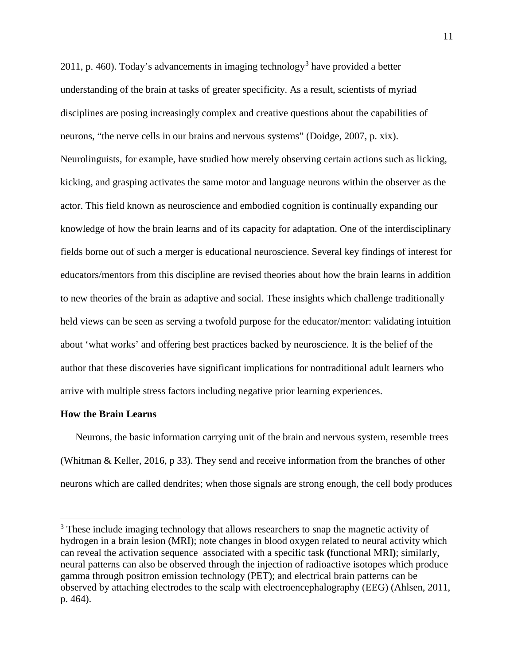2011, p. 460). Today's advancements in imaging technology<sup>[3](#page-11-0)</sup> have provided a better understanding of the brain at tasks of greater specificity. As a result, scientists of myriad disciplines are posing increasingly complex and creative questions about the capabilities of neurons, "the nerve cells in our brains and nervous systems" (Doidge, 2007, p. xix). Neurolinguists, for example, have studied how merely observing certain actions such as licking, kicking, and grasping activates the same motor and language neurons within the observer as the actor. This field known as neuroscience and embodied cognition is continually expanding our knowledge of how the brain learns and of its capacity for adaptation. One of the interdisciplinary fields borne out of such a merger is educational neuroscience. Several key findings of interest for educators/mentors from this discipline are revised theories about how the brain learns in addition to new theories of the brain as adaptive and social. These insights which challenge traditionally held views can be seen as serving a twofold purpose for the educator/mentor: validating intuition about 'what works' and offering best practices backed by neuroscience. It is the belief of the author that these discoveries have significant implications for nontraditional adult learners who arrive with multiple stress factors including negative prior learning experiences.

# **How the Brain Learns**

Neurons, the basic information carrying unit of the brain and nervous system, resemble trees (Whitman & Keller, 2016, p 33). They send and receive information from the branches of other neurons which are called dendrites; when those signals are strong enough, the cell body produces

<span id="page-11-0"></span><sup>&</sup>lt;sup>3</sup> These include imaging technology that allows researchers to snap the magnetic activity of hydrogen in a brain lesion (MRI); note changes in blood oxygen related to neural activity which can reveal the activation sequence associated with a specific task **(**functional MRI**)**; similarly, neural patterns can also be observed through the injection of radioactive isotopes which produce gamma through positron emission technology (PET); and electrical brain patterns can be observed by attaching electrodes to the scalp with electroencephalography (EEG) (Ahlsen, 2011, p. 464).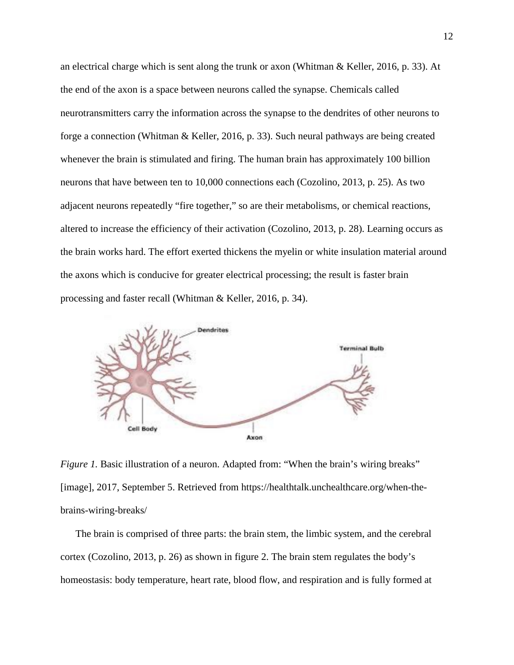an electrical charge which is sent along the trunk or axon (Whitman & Keller, 2016, p. 33). At the end of the axon is a space between neurons called the synapse. Chemicals called neurotransmitters carry the information across the synapse to the dendrites of other neurons to forge a connection (Whitman & Keller, 2016, p. 33). Such neural pathways are being created whenever the brain is stimulated and firing. The human brain has approximately 100 billion neurons that have between ten to 10,000 connections each (Cozolino, 2013, p. 25). As two adjacent neurons repeatedly "fire together," so are their metabolisms, or chemical reactions, altered to increase the efficiency of their activation (Cozolino, 2013, p. 28). Learning occurs as the brain works hard. The effort exerted thickens the myelin or white insulation material around the axons which is conducive for greater electrical processing; the result is faster brain processing and faster recall (Whitman & Keller, 2016, p. 34).



*Figure 1.* Basic illustration of a neuron. Adapted from: "When the brain's wiring breaks" [image], 2017, September 5. Retrieved from https://healthtalk.unchealthcare.org/when-thebrains-wiring-breaks/

The brain is comprised of three parts: the brain stem, the limbic system, and the cerebral cortex (Cozolino, 2013, p. 26) as shown in figure 2. The brain stem regulates the body's homeostasis: body temperature, heart rate, blood flow, and respiration and is fully formed at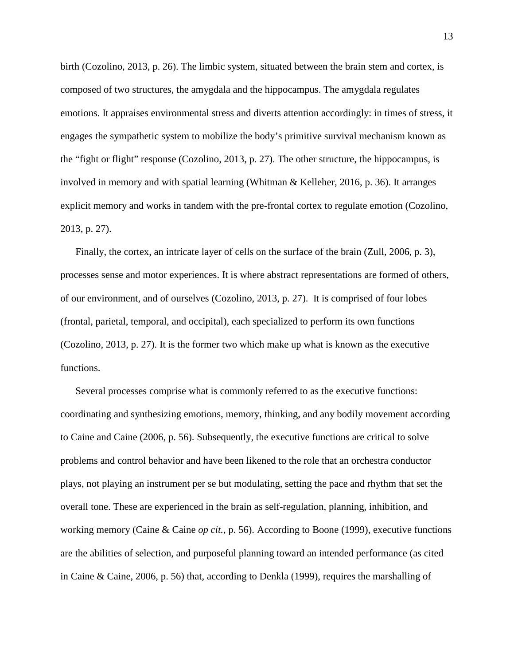birth (Cozolino, 2013, p. 26). The limbic system, situated between the brain stem and cortex, is composed of two structures, the amygdala and the hippocampus. The amygdala regulates emotions. It appraises environmental stress and diverts attention accordingly: in times of stress, it engages the sympathetic system to mobilize the body's primitive survival mechanism known as the "fight or flight" response (Cozolino, 2013, p. 27). The other structure, the hippocampus, is involved in memory and with spatial learning (Whitman & Kelleher, 2016, p. 36). It arranges explicit memory and works in tandem with the pre-frontal cortex to regulate emotion (Cozolino, 2013, p. 27).

Finally, the cortex, an intricate layer of cells on the surface of the brain (Zull, 2006, p. 3), processes sense and motor experiences. It is where abstract representations are formed of others, of our environment, and of ourselves (Cozolino, 2013, p. 27). It is comprised of four lobes (frontal, parietal, temporal, and occipital), each specialized to perform its own functions (Cozolino, 2013, p. 27). It is the former two which make up what is known as the executive functions.

Several processes comprise what is commonly referred to as the executive functions: coordinating and synthesizing emotions, memory, thinking, and any bodily movement according to Caine and Caine (2006, p. 56). Subsequently, the executive functions are critical to solve problems and control behavior and have been likened to the role that an orchestra conductor plays, not playing an instrument per se but modulating, setting the pace and rhythm that set the overall tone. These are experienced in the brain as self-regulation, planning, inhibition, and working memory (Caine & Caine *op cit.,* p. 56). According to Boone (1999), executive functions are the abilities of selection, and purposeful planning toward an intended performance (as cited in Caine & Caine, 2006, p. 56) that, according to Denkla (1999), requires the marshalling of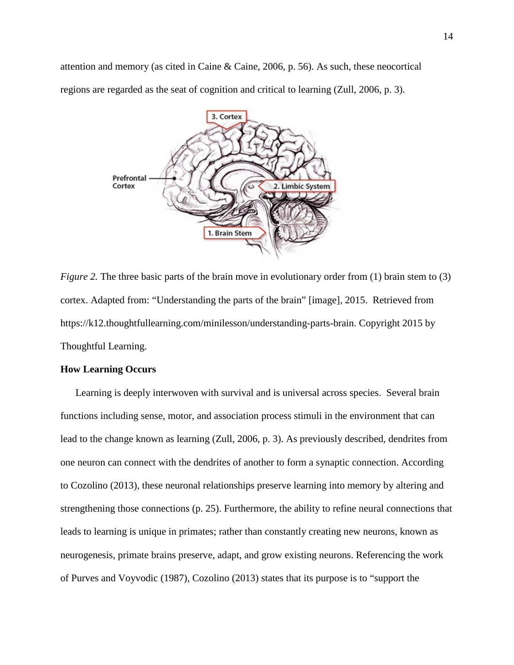attention and memory (as cited in Caine & Caine, 2006, p. 56). As such, these neocortical regions are regarded as the seat of cognition and critical to learning (Zull, 2006, p. 3).



*Figure* 2. The three basic parts of the brain move in evolutionary order from (1) brain stem to (3) cortex. Adapted from: "Understanding the parts of the brain" [image], 2015. Retrieved from [https://k12.thoughtfullearning.com/minilesson/understanding-parts-brain.](https://k12.thoughtfullearning.com/minilesson/understanding-parts-brain) Copyright 2015 by Thoughtful Learning.

## **How Learning Occurs**

Learning is deeply interwoven with survival and is universal across species. Several brain functions including sense, motor, and association process stimuli in the environment that can lead to the change known as learning (Zull, 2006, p. 3). As previously described, dendrites from one neuron can connect with the dendrites of another to form a synaptic connection. According to Cozolino (2013), these neuronal relationships preserve learning into memory by altering and strengthening those connections (p. 25). Furthermore, the ability to refine neural connections that leads to learning is unique in primates; rather than constantly creating new neurons, known as neurogenesis, primate brains preserve, adapt, and grow existing neurons. Referencing the work of Purves and Voyvodic (1987), Cozolino (2013) states that its purpose is to "support the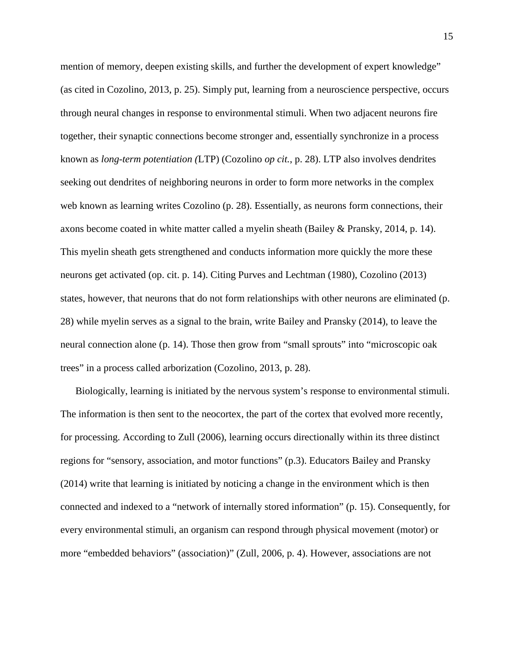mention of memory, deepen existing skills, and further the development of expert knowledge" (as cited in Cozolino, 2013, p. 25). Simply put, learning from a neuroscience perspective, occurs through neural changes in response to environmental stimuli. When two adjacent neurons fire together, their synaptic connections become stronger and, essentially synchronize in a process known as *long-term potentiation (*LTP) (Cozolino *op cit.*, p. 28). LTP also involves dendrites seeking out dendrites of neighboring neurons in order to form more networks in the complex web known as learning writes Cozolino (p. 28). Essentially, as neurons form connections, their axons become coated in white matter called a myelin sheath (Bailey & Pransky, 2014, p. 14). This myelin sheath gets strengthened and conducts information more quickly the more these neurons get activated (op. cit. p. 14). Citing Purves and Lechtman (1980), Cozolino (2013) states, however, that neurons that do not form relationships with other neurons are eliminated (p. 28) while myelin serves as a signal to the brain, write Bailey and Pransky (2014), to leave the neural connection alone (p. 14). Those then grow from "small sprouts" into "microscopic oak trees" in a process called arborization (Cozolino, 2013, p. 28).

Biologically, learning is initiated by the nervous system's response to environmental stimuli. The information is then sent to the neocortex, the part of the cortex that evolved more recently, for processing. According to Zull (2006), learning occurs directionally within its three distinct regions for "sensory, association, and motor functions" (p.3). Educators Bailey and Pransky (2014) write that learning is initiated by noticing a change in the environment which is then connected and indexed to a "network of internally stored information" (p. 15). Consequently, for every environmental stimuli, an organism can respond through physical movement (motor) or more "embedded behaviors" (association)" (Zull, 2006, p. 4). However, associations are not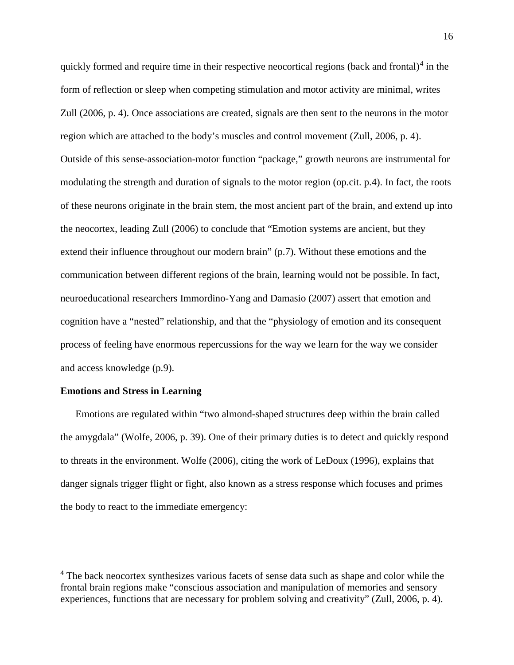quickly formed and require time in their respective neocortical regions (back and frontal)<sup>[4](#page-16-0)</sup> in the form of reflection or sleep when competing stimulation and motor activity are minimal, writes Zull (2006, p. 4). Once associations are created, signals are then sent to the neurons in the motor region which are attached to the body's muscles and control movement (Zull, 2006, p. 4). Outside of this sense-association-motor function "package," growth neurons are instrumental for modulating the strength and duration of signals to the motor region (op.cit. p.4). In fact, the roots of these neurons originate in the brain stem, the most ancient part of the brain, and extend up into the neocortex, leading Zull (2006) to conclude that "Emotion systems are ancient, but they extend their influence throughout our modern brain" (p.7). Without these emotions and the communication between different regions of the brain, learning would not be possible. In fact, neuroeducational researchers Immordino-Yang and Damasio (2007) assert that emotion and cognition have a "nested" relationship, and that the "physiology of emotion and its consequent process of feeling have enormous repercussions for the way we learn for the way we consider and access knowledge (p.9).

# **Emotions and Stress in Learning**

Emotions are regulated within "two almond-shaped structures deep within the brain called the amygdala" (Wolfe, 2006, p. 39). One of their primary duties is to detect and quickly respond to threats in the environment. Wolfe (2006), citing the work of LeDoux (1996), explains that danger signals trigger flight or fight, also known as a stress response which focuses and primes the body to react to the immediate emergency:

<span id="page-16-0"></span><sup>&</sup>lt;sup>4</sup> The back neocortex synthesizes various facets of sense data such as shape and color while the frontal brain regions make "conscious association and manipulation of memories and sensory experiences, functions that are necessary for problem solving and creativity" (Zull, 2006, p. 4).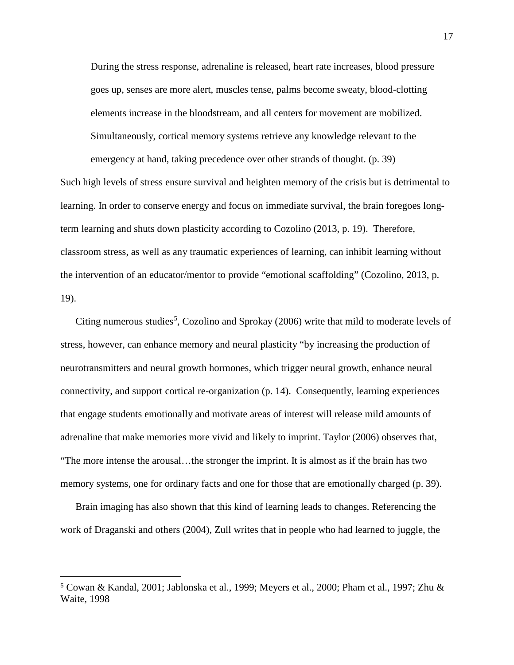During the stress response, adrenaline is released, heart rate increases, blood pressure goes up, senses are more alert, muscles tense, palms become sweaty, blood-clotting elements increase in the bloodstream, and all centers for movement are mobilized. Simultaneously, cortical memory systems retrieve any knowledge relevant to the emergency at hand, taking precedence over other strands of thought. (p. 39)

Such high levels of stress ensure survival and heighten memory of the crisis but is detrimental to learning. In order to conserve energy and focus on immediate survival, the brain foregoes longterm learning and shuts down plasticity according to Cozolino (2013, p. 19). Therefore, classroom stress, as well as any traumatic experiences of learning, can inhibit learning without the intervention of an educator/mentor to provide "emotional scaffolding" (Cozolino, 2013, p. 19).

Citing numerous studies<sup>[5](#page-17-0)</sup>, Cozolino and Sprokay (2006) write that mild to moderate levels of stress, however, can enhance memory and neural plasticity "by increasing the production of neurotransmitters and neural growth hormones, which trigger neural growth, enhance neural connectivity, and support cortical re-organization (p. 14). Consequently, learning experiences that engage students emotionally and motivate areas of interest will release mild amounts of adrenaline that make memories more vivid and likely to imprint. Taylor (2006) observes that, "The more intense the arousal…the stronger the imprint. It is almost as if the brain has two memory systems, one for ordinary facts and one for those that are emotionally charged (p. 39).

Brain imaging has also shown that this kind of learning leads to changes. Referencing the work of Draganski and others (2004), Zull writes that in people who had learned to juggle, the

 $\overline{a}$ 

<span id="page-17-0"></span><sup>5</sup> Cowan & Kandal, 2001; Jablonska et al., 1999; Meyers et al., 2000; Pham et al., 1997; Zhu & Waite, 1998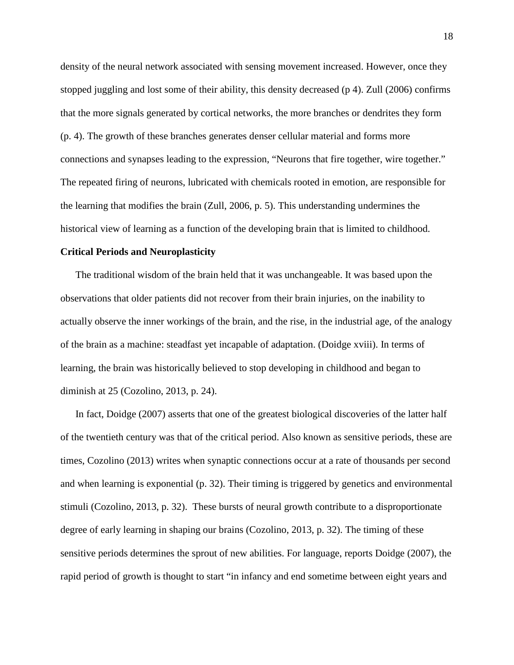density of the neural network associated with sensing movement increased. However, once they stopped juggling and lost some of their ability, this density decreased (p 4). Zull (2006) confirms that the more signals generated by cortical networks, the more branches or dendrites they form (p. 4). The growth of these branches generates denser cellular material and forms more connections and synapses leading to the expression, "Neurons that fire together, wire together." The repeated firing of neurons, lubricated with chemicals rooted in emotion, are responsible for the learning that modifies the brain (Zull, 2006, p. 5). This understanding undermines the historical view of learning as a function of the developing brain that is limited to childhood.

#### **Critical Periods and Neuroplasticity**

The traditional wisdom of the brain held that it was unchangeable. It was based upon the observations that older patients did not recover from their brain injuries, on the inability to actually observe the inner workings of the brain, and the rise, in the industrial age, of the analogy of the brain as a machine: steadfast yet incapable of adaptation. (Doidge xviii). In terms of learning, the brain was historically believed to stop developing in childhood and began to diminish at 25 (Cozolino, 2013, p. 24).

In fact, Doidge (2007) asserts that one of the greatest biological discoveries of the latter half of the twentieth century was that of the critical period. Also known as sensitive periods, these are times, Cozolino (2013) writes when synaptic connections occur at a rate of thousands per second and when learning is exponential (p. 32). Their timing is triggered by genetics and environmental stimuli (Cozolino, 2013, p. 32). These bursts of neural growth contribute to a disproportionate degree of early learning in shaping our brains (Cozolino, 2013, p. 32). The timing of these sensitive periods determines the sprout of new abilities. For language, reports Doidge (2007), the rapid period of growth is thought to start "in infancy and end sometime between eight years and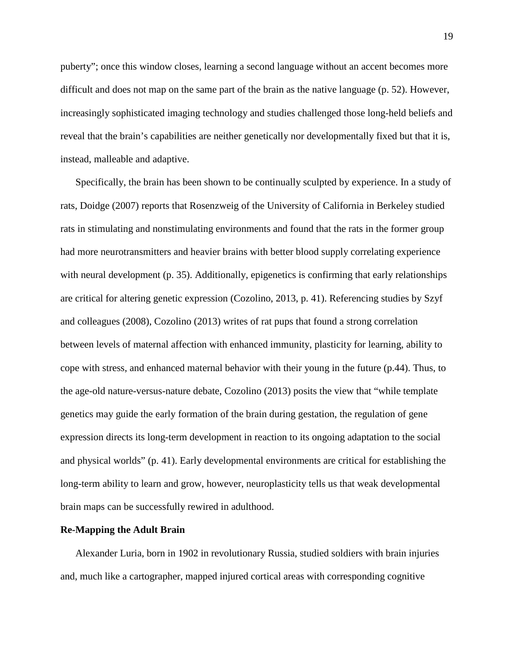puberty"; once this window closes, learning a second language without an accent becomes more difficult and does not map on the same part of the brain as the native language (p. 52). However, increasingly sophisticated imaging technology and studies challenged those long-held beliefs and reveal that the brain's capabilities are neither genetically nor developmentally fixed but that it is, instead, malleable and adaptive.

Specifically, the brain has been shown to be continually sculpted by experience. In a study of rats, Doidge (2007) reports that Rosenzweig of the University of California in Berkeley studied rats in stimulating and nonstimulating environments and found that the rats in the former group had more neurotransmitters and heavier brains with better blood supply correlating experience with neural development (p. 35). Additionally, epigenetics is confirming that early relationships are critical for altering genetic expression (Cozolino, 2013, p. 41). Referencing studies by Szyf and colleagues (2008), Cozolino (2013) writes of rat pups that found a strong correlation between levels of maternal affection with enhanced immunity, plasticity for learning, ability to cope with stress, and enhanced maternal behavior with their young in the future (p.44). Thus, to the age-old nature-versus-nature debate, Cozolino (2013) posits the view that "while template genetics may guide the early formation of the brain during gestation, the regulation of gene expression directs its long-term development in reaction to its ongoing adaptation to the social and physical worlds" (p. 41). Early developmental environments are critical for establishing the long-term ability to learn and grow, however, neuroplasticity tells us that weak developmental brain maps can be successfully rewired in adulthood.

# **Re-Mapping the Adult Brain**

Alexander Luria, born in 1902 in revolutionary Russia, studied soldiers with brain injuries and, much like a cartographer, mapped injured cortical areas with corresponding cognitive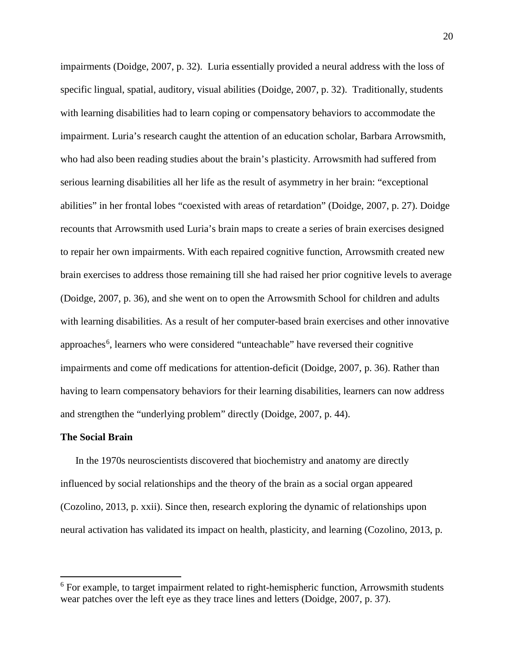impairments (Doidge, 2007, p. 32). Luria essentially provided a neural address with the loss of specific lingual, spatial, auditory, visual abilities (Doidge, 2007, p. 32). Traditionally, students with learning disabilities had to learn coping or compensatory behaviors to accommodate the impairment. Luria's research caught the attention of an education scholar, Barbara Arrowsmith, who had also been reading studies about the brain's plasticity. Arrowsmith had suffered from serious learning disabilities all her life as the result of asymmetry in her brain: "exceptional abilities" in her frontal lobes "coexisted with areas of retardation" (Doidge, 2007, p. 27). Doidge recounts that Arrowsmith used Luria's brain maps to create a series of brain exercises designed to repair her own impairments. With each repaired cognitive function, Arrowsmith created new brain exercises to address those remaining till she had raised her prior cognitive levels to average (Doidge, 2007, p. 36), and she went on to open the Arrowsmith School for children and adults with learning disabilities. As a result of her computer-based brain exercises and other innovative approaches<sup>[6](#page-20-0)</sup>, learners who were considered "unteachable" have reversed their cognitive impairments and come off medications for attention-deficit (Doidge, 2007, p. 36). Rather than having to learn compensatory behaviors for their learning disabilities, learners can now address and strengthen the "underlying problem" directly (Doidge, 2007, p. 44).

#### **The Social Brain**

In the 1970s neuroscientists discovered that biochemistry and anatomy are directly influenced by social relationships and the theory of the brain as a social organ appeared (Cozolino, 2013, p. xxii). Since then, research exploring the dynamic of relationships upon neural activation has validated its impact on health, plasticity, and learning (Cozolino, 2013, p.

<span id="page-20-0"></span><sup>&</sup>lt;sup>6</sup> For example, to target impairment related to right-hemispheric function, Arrowsmith students wear patches over the left eye as they trace lines and letters (Doidge, 2007, p. 37).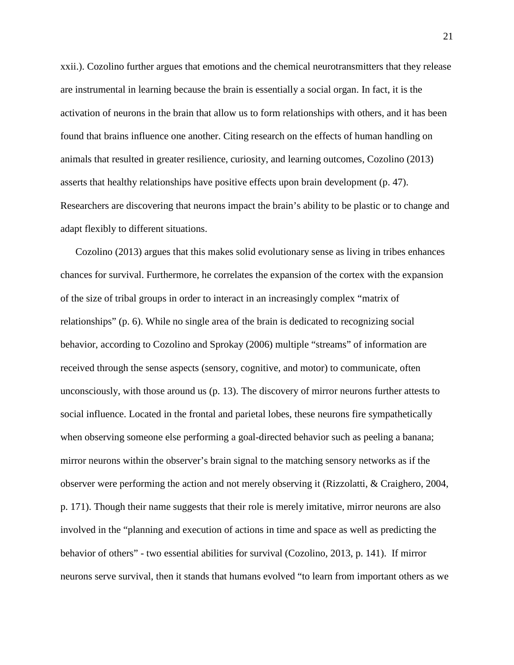xxii.). Cozolino further argues that emotions and the chemical neurotransmitters that they release are instrumental in learning because the brain is essentially a social organ. In fact, it is the activation of neurons in the brain that allow us to form relationships with others, and it has been found that brains influence one another. Citing research on the effects of human handling on animals that resulted in greater resilience, curiosity, and learning outcomes, Cozolino (2013) asserts that healthy relationships have positive effects upon brain development (p. 47). Researchers are discovering that neurons impact the brain's ability to be plastic or to change and adapt flexibly to different situations.

Cozolino (2013) argues that this makes solid evolutionary sense as living in tribes enhances chances for survival. Furthermore, he correlates the expansion of the cortex with the expansion of the size of tribal groups in order to interact in an increasingly complex "matrix of relationships" (p. 6). While no single area of the brain is dedicated to recognizing social behavior, according to Cozolino and Sprokay (2006) multiple "streams" of information are received through the sense aspects (sensory, cognitive, and motor) to communicate, often unconsciously, with those around us (p. 13). The discovery of mirror neurons further attests to social influence. Located in the frontal and parietal lobes, these neurons fire sympathetically when observing someone else performing a goal-directed behavior such as peeling a banana; mirror neurons within the observer's brain signal to the matching sensory networks as if the observer were performing the action and not merely observing it (Rizzolatti, & Craighero, 2004, p. 171). Though their name suggests that their role is merely imitative, mirror neurons are also involved in the "planning and execution of actions in time and space as well as predicting the behavior of others" - two essential abilities for survival (Cozolino, 2013, p. 141). If mirror neurons serve survival, then it stands that humans evolved "to learn from important others as we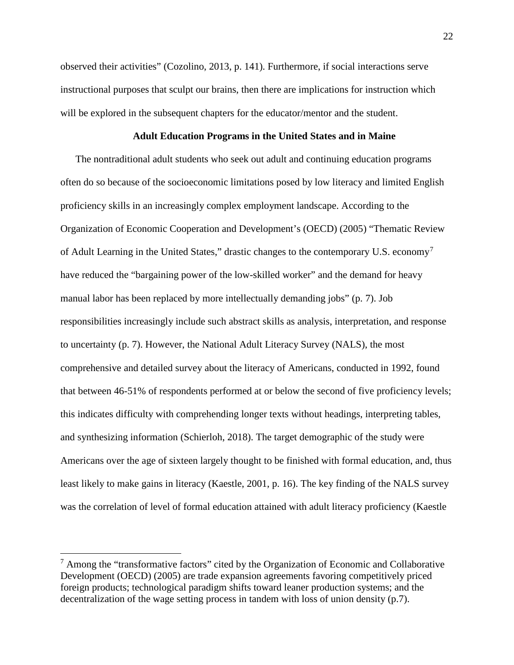observed their activities" (Cozolino, 2013, p. 141). Furthermore, if social interactions serve instructional purposes that sculpt our brains, then there are implications for instruction which will be explored in the subsequent chapters for the educator/mentor and the student.

# **Adult Education Programs in the United States and in Maine**

The nontraditional adult students who seek out adult and continuing education programs often do so because of the socioeconomic limitations posed by low literacy and limited English proficiency skills in an increasingly complex employment landscape. According to the Organization of Economic Cooperation and Development's (OECD) (2005) "Thematic Review of Adult Learning in the United States," drastic changes to the contemporary U.S. economy[7](#page-22-0) have reduced the "bargaining power of the low-skilled worker" and the demand for heavy manual labor has been replaced by more intellectually demanding jobs" (p. 7). Job responsibilities increasingly include such abstract skills as analysis, interpretation, and response to uncertainty (p. 7). However, the National Adult Literacy Survey (NALS), the most comprehensive and detailed survey about the literacy of Americans, conducted in 1992, found that between 46-51% of respondents performed at or below the second of five proficiency levels; this indicates difficulty with comprehending longer texts without headings, interpreting tables, and synthesizing information (Schierloh, 2018). The target demographic of the study were Americans over the age of sixteen largely thought to be finished with formal education, and, thus least likely to make gains in literacy (Kaestle, 2001, p. 16). The key finding of the NALS survey was the correlation of level of formal education attained with adult literacy proficiency (Kaestle

<span id="page-22-0"></span> $<sup>7</sup>$  Among the "transformative factors" cited by the Organization of Economic and Collaborative</sup> Development (OECD) (2005) are trade expansion agreements favoring competitively priced foreign products; technological paradigm shifts toward leaner production systems; and the decentralization of the wage setting process in tandem with loss of union density (p.7).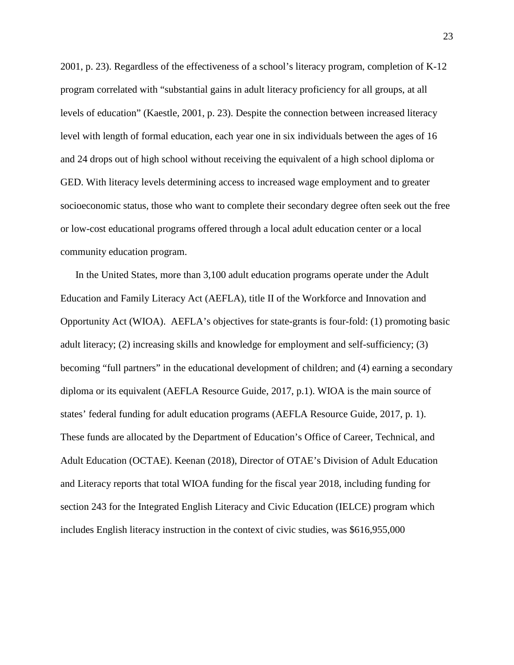2001, p. 23). Regardless of the effectiveness of a school's literacy program, completion of K-12 program correlated with "substantial gains in adult literacy proficiency for all groups, at all levels of education" (Kaestle, 2001, p. 23). Despite the connection between increased literacy level with length of formal education, each year one in six individuals between the ages of 16 and 24 drops out of high school without receiving the equivalent of a high school diploma or GED. With literacy levels determining access to increased wage employment and to greater socioeconomic status, those who want to complete their secondary degree often seek out the free or low-cost educational programs offered through a local adult education center or a local community education program.

In the United States, more than 3,100 adult education programs operate under the Adult Education and Family Literacy Act (AEFLA), title II of the Workforce and Innovation and Opportunity Act (WIOA). AEFLA's objectives for state-grants is four-fold: (1) promoting basic adult literacy; (2) increasing skills and knowledge for employment and self-sufficiency; (3) becoming "full partners" in the educational development of children; and (4) earning a secondary diploma or its equivalent (AEFLA Resource Guide, 2017, p.1). WIOA is the main source of states' federal funding for adult education programs (AEFLA Resource Guide, 2017, p. 1). These funds are allocated by the Department of Education's Office of Career, Technical, and Adult Education (OCTAE). Keenan (2018), Director of OTAE's Division of Adult Education and Literacy reports that total WIOA funding for the fiscal year 2018, including funding for section 243 for the Integrated English Literacy and Civic Education (IELCE) program which includes English literacy instruction in the context of civic studies, was \$616,955,000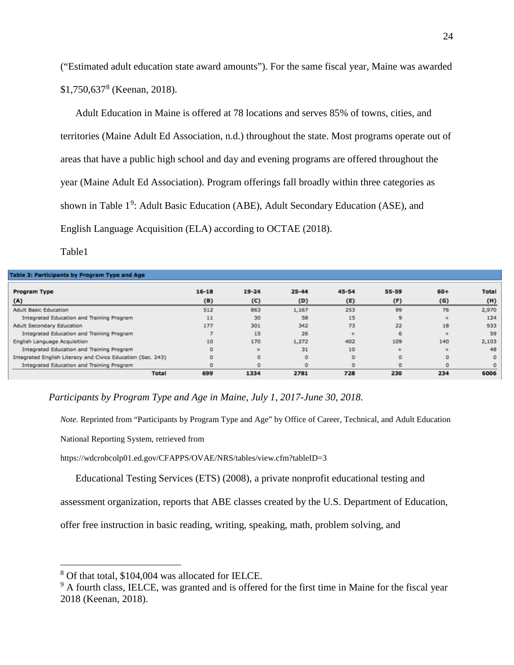("Estimated adult education state award amounts"). For the same fiscal year, Maine was awarded \$1,750,637[8](#page-24-0) (Keenan, 2018).

Adult Education in Maine is offered at 78 locations and serves 85% of towns, cities, and territories (Maine Adult Ed Association, n.d.) throughout the state. Most programs operate out of areas that have a public high school and day and evening programs are offered throughout the year (Maine Adult Ed Association). Program offerings fall broadly within three categories as shown in Table 1<sup>[9](#page-24-1)</sup>: Adult Basic Education (ABE), Adult Secondary Education (ASE), and English Language Acquisition (ELA) according to OCTAE (2018).

Table1

| Table 3: Participants by Program Type and Age               |           |           |           |         |          |          |              |
|-------------------------------------------------------------|-----------|-----------|-----------|---------|----------|----------|--------------|
| <b>Program Type</b>                                         | $16 - 18$ | $19 - 24$ | $25 - 44$ | 45-54   | 55-59    | $60+$    | <b>Total</b> |
| (A)                                                         | (B)       | (C)       | (D)       | (E)     | (F)      | (G)      | (H)          |
| <b>Adult Basic Education</b>                                | 512       | 863       | 1,167     | 253     | 99       | 76       | 2,970        |
| Integrated Education and Training Program                   | 11        | 30        | 58        | 15      | 9        |          | 124          |
| <b>Adult Secondary Education</b>                            | 177       | 301       | 342       | 73      | 22       | 18       | 933          |
| Integrated Education and Training Program                   |           | 15        | 26        |         | 6        |          | 59           |
| English Language Acquisition                                | 10        | 170       | 1,272     | 402     | 109      | 140      | 2,103        |
| Integrated Education and Training Program                   | $\circ$   |           | 31        | 10      |          |          | 48           |
| Integrated English Literacy and Civics Education (Sec. 243) | $\circ$   | $\circ$   | $\circ$   | $\circ$ | $\circ$  | $\Omega$ | $\circ$      |
| Integrated Education and Training Program                   | $\Omega$  |           | $\circ$   | $\circ$ | $\Omega$ | $\circ$  | $\Omega$     |
| <b>Total</b>                                                | 699       | 1334      | 2781      | 728     | 230      | 234      | 6006         |

 *Participants by Program Type and Age in Maine, July 1, 2017-June 30, 2018.*

*Note.* Reprinted from "Participants by Program Type and Age" by Office of Career, Technical, and Adult Education

National Reporting System, retrieved from

https://wdcrobcolp01.ed.gov/CFAPPS/OVAE/NRS/tables/view.cfm?tableID=3

Educational Testing Services (ETS) (2008), a private nonprofit educational testing and

assessment organization, reports that ABE classes created by the U.S. Department of Education,

offer free instruction in basic reading, writing, speaking, math, problem solving, and

<span id="page-24-0"></span> <sup>8</sup> Of that total, \$104,004 was allocated for IELCE.

<span id="page-24-1"></span><sup>&</sup>lt;sup>9</sup> A fourth class, IELCE, was granted and is offered for the first time in Maine for the fiscal year 2018 (Keenan, 2018).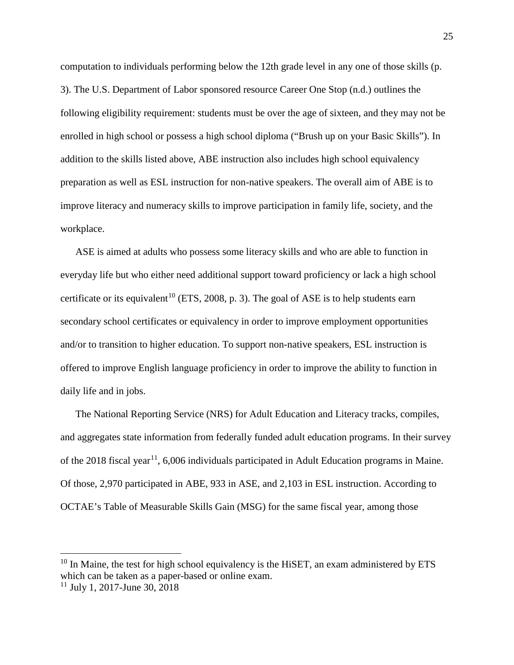computation to individuals performing below the 12th grade level in any one of those skills (p. 3). The U.S. Department of Labor sponsored resource Career One Stop (n.d.) outlines the following eligibility requirement: students must be over the age of sixteen, and they may not be enrolled in high school or possess a high school diploma ("Brush up on your Basic Skills"). In addition to the skills listed above, ABE instruction also includes high school equivalency preparation as well as ESL instruction for non-native speakers. The overall aim of ABE is to improve literacy and numeracy skills to improve participation in family life, society, and the workplace.

ASE is aimed at adults who possess some literacy skills and who are able to function in everyday life but who either need additional support toward proficiency or lack a high school certificate or its equivalent<sup>[10](#page-25-0)</sup> (ETS, 2008, p. 3). The goal of ASE is to help students earn secondary school certificates or equivalency in order to improve employment opportunities and/or to transition to higher education. To support non-native speakers, ESL instruction is offered to improve English language proficiency in order to improve the ability to function in daily life and in jobs.

The National Reporting Service (NRS) for Adult Education and Literacy tracks, compiles, and aggregates state information from federally funded adult education programs. In their survey of the 2018 fiscal year<sup>11</sup>, 6,006 individuals participated in Adult Education programs in Maine. Of those, 2,970 participated in ABE, 933 in ASE, and 2,103 in ESL instruction. According to OCTAE's Table of Measurable Skills Gain (MSG) for the same fiscal year, among those

<span id="page-25-0"></span> $10$  In Maine, the test for high school equivalency is the HiSET, an exam administered by ETS which can be taken as a paper-based or online exam.

<span id="page-25-1"></span> $11$  July 1, 2017-June 30, 2018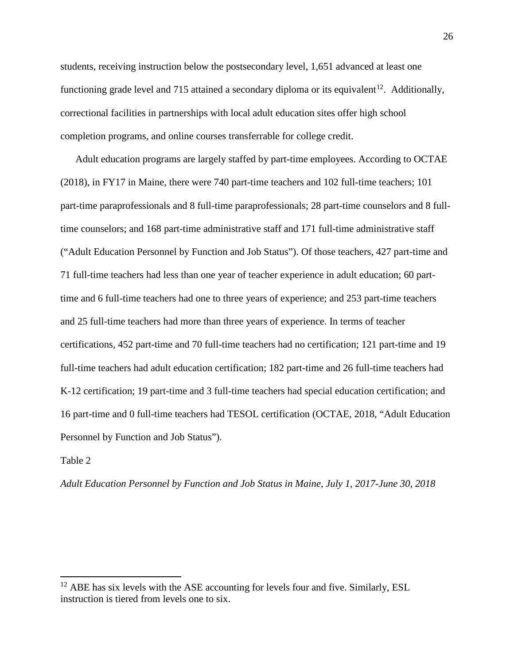students, receiving instruction below the postsecondary level, 1,651 advanced at least one functioning grade level and 715 attained a secondary diploma or its equivalent<sup>12</sup>. Additionally, correctional facilities in partnerships with local adult education sites offer high school completion programs, and online courses transferrable for college credit.

Adult education programs are largely staffed by part-time employees. According to OCTAE (2018), in FY17 in Maine, there were 740 part-time teachers and 102 full-time teachers; 101 part-time paraprofessionals and 8 full-time paraprofessionals; 28 part-time counselors and 8 fulltime counselors; and 168 part-time administrative staff and 171 full-time administrative staff ("Adult Education Personnel by Function and Job Status"). Of those teachers, 427 part-time and 71 full-time teachers had less than one year of teacher experience in adult education; 60 parttime and 6 full-time teachers had one to three years of experience; and 253 part-time teachers and 25 full-time teachers had more than three years of experience. In terms of teacher certifications, 452 part-time and 70 full-time teachers had no certification; 121 part-time and 19 full-time teachers had adult education certification; 182 part-time and 26 full-time teachers had K-12 certification; 19 part-time and 3 full-time teachers had special education certification; and 16 part-time and 0 full-time teachers had TESOL certification (OCTAE, 2018, "Adult Education Personnel by Function and Job Status").

Table 2

*Adult Education Personnel by Function and Job Status in Maine, July 1, 2017-June 30, 2018*

<span id="page-26-0"></span> $12$  ABE has six levels with the ASE accounting for levels four and five. Similarly, ESL instruction is tiered from levels one to six.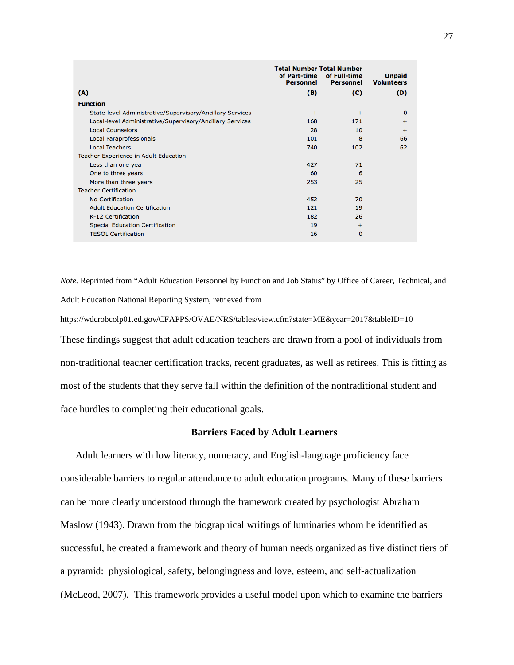|                                                           | <b>Total Number Total Number</b><br>of Part-time | <b>Unpaid</b> |                   |  |
|-----------------------------------------------------------|--------------------------------------------------|---------------|-------------------|--|
|                                                           | <b>Personnel</b>                                 | Personnel     | <b>Volunteers</b> |  |
| (A)                                                       | (B)                                              | (C)           | (D)               |  |
| <b>Function</b>                                           |                                                  |               |                   |  |
| State-level Administrative/Supervisory/Ancillary Services | $\div$                                           | $\div$        | $\mathbf 0$       |  |
| Local-level Administrative/Supervisory/Ancillary Services | 168                                              | 171           | ÷                 |  |
| <b>Local Counselors</b>                                   | 28                                               | 10            | $+$               |  |
| Local Paraprofessionals                                   | 101                                              | 8             | 66                |  |
| <b>Local Teachers</b>                                     | 740                                              | 102           | 62                |  |
| Teacher Experience in Adult Education                     |                                                  |               |                   |  |
| Less than one year                                        | 427                                              | 71            |                   |  |
| One to three years                                        | 60                                               | 6             |                   |  |
| More than three years                                     | 253                                              | 25            |                   |  |
| <b>Teacher Certification</b>                              |                                                  |               |                   |  |
| No Certification                                          | 452                                              | 70            |                   |  |
| <b>Adult Education Certification</b>                      | 121                                              | 19            |                   |  |
| K-12 Certification                                        | 182                                              | 26            |                   |  |
| <b>Special Education Certification</b>                    | 19                                               | $\ddot{}$     |                   |  |
| <b>TESOL Certification</b>                                | 16                                               | $\mathbf 0$   |                   |  |

*Note.* Reprinted from "Adult Education Personnel by Function and Job Status" by Office of Career, Technical, and Adult Education National Reporting System, retrieved from

<https://wdcrobcolp01.ed.gov/CFAPPS/OVAE/NRS/tables/view.cfm?state=ME&year=2017&tableID=10> These findings suggest that adult education teachers are drawn from a pool of individuals from non-traditional teacher certification tracks, recent graduates, as well as retirees. This is fitting as most of the students that they serve fall within the definition of the nontraditional student and face hurdles to completing their educational goals.

# **Barriers Faced by Adult Learners**

Adult learners with low literacy, numeracy, and English-language proficiency face considerable barriers to regular attendance to adult education programs. Many of these barriers can be more clearly understood through the framework created by psychologist Abraham Maslow (1943). Drawn from the biographical writings of luminaries whom he identified as successful, he created a framework and theory of human needs organized as five distinct tiers of a pyramid: physiological, safety, belongingness and love, esteem, and self-actualization (McLeod, 2007). This framework provides a useful model upon which to examine the barriers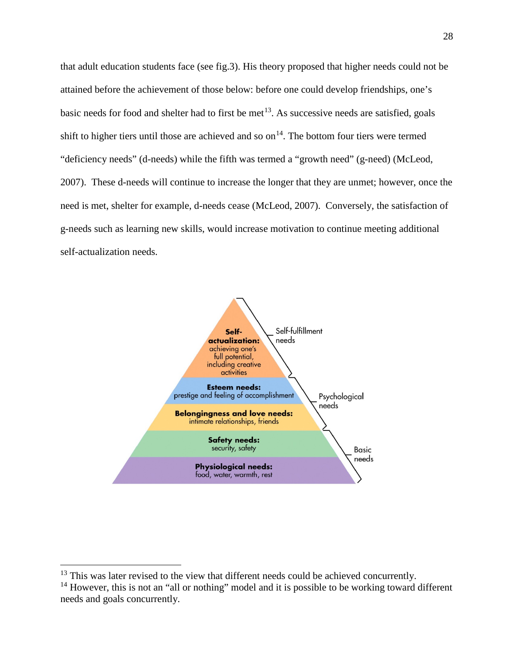that adult education students face (see fig.3). His theory proposed that higher needs could not be attained before the achievement of those below: before one could develop friendships, one's basic needs for food and shelter had to first be met<sup>[13](#page-28-0)</sup>. As successive needs are satisfied, goals shift to higher tiers until those are achieved and so on<sup>[14](#page-28-1)</sup>. The bottom four tiers were termed "deficiency needs" (d-needs) while the fifth was termed a "growth need" (g-need) (McLeod, 2007). These d-needs will continue to increase the longer that they are unmet; however, once the need is met, shelter for example, d-needs cease (McLeod, 2007). Conversely, the satisfaction of g-needs such as learning new skills, would increase motivation to continue meeting additional self-actualization needs.



<span id="page-28-0"></span> $13$  This was later revised to the view that different needs could be achieved concurrently.

<span id="page-28-1"></span> $14$  However, this is not an "all or nothing" model and it is possible to be working toward different needs and goals concurrently.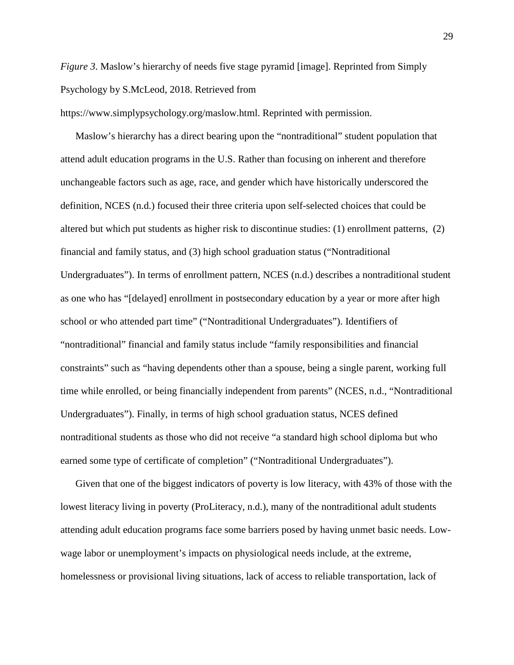*Figure* 3. Maslow's hierarchy of needs five stage pyramid [image]. Reprinted from Simply Psychology by S.McLeod, 2018. Retrieved from

[https://www.simplypsychology.org/maslow.html.](https://www.simplypsychology.org/maslow.html) Reprinted with permission.

Maslow's hierarchy has a direct bearing upon the "nontraditional" student population that attend adult education programs in the U.S. Rather than focusing on inherent and therefore unchangeable factors such as age, race, and gender which have historically underscored the definition, NCES (n.d.) focused their three criteria upon self-selected choices that could be altered but which put students as higher risk to discontinue studies: (1) enrollment patterns, (2) financial and family status, and (3) high school graduation status ("Nontraditional Undergraduates"). In terms of enrollment pattern, NCES (n.d.) describes a nontraditional student as one who has "[delayed] enrollment in postsecondary education by a year or more after high school or who attended part time" ("Nontraditional Undergraduates"). Identifiers of "nontraditional" financial and family status include "family responsibilities and financial constraints" such as "having dependents other than a spouse, being a single parent, working full time while enrolled, or being financially independent from parents" (NCES, n.d., "Nontraditional Undergraduates"). Finally, in terms of high school graduation status, NCES defined nontraditional students as those who did not receive "a standard high school diploma but who earned some type of certificate of completion" ("Nontraditional Undergraduates").

Given that one of the biggest indicators of poverty is low literacy, with 43% of those with the lowest literacy living in poverty (ProLiteracy, n.d.), many of the nontraditional adult students attending adult education programs face some barriers posed by having unmet basic needs. Lowwage labor or unemployment's impacts on physiological needs include, at the extreme, homelessness or provisional living situations, lack of access to reliable transportation, lack of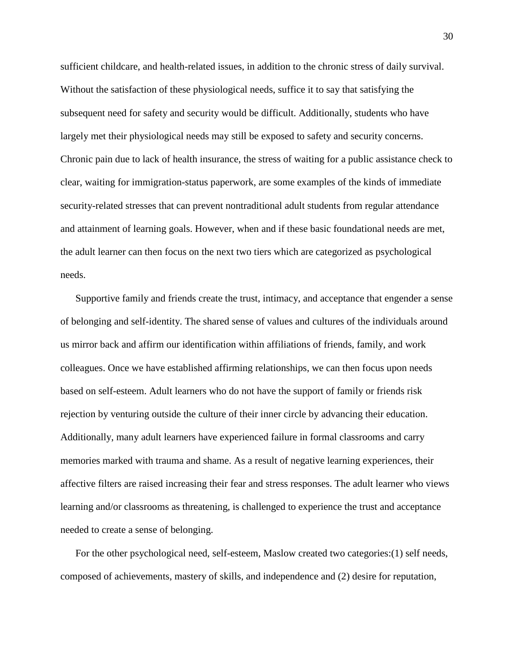sufficient childcare, and health-related issues, in addition to the chronic stress of daily survival. Without the satisfaction of these physiological needs, suffice it to say that satisfying the subsequent need for safety and security would be difficult. Additionally, students who have largely met their physiological needs may still be exposed to safety and security concerns. Chronic pain due to lack of health insurance, the stress of waiting for a public assistance check to clear, waiting for immigration-status paperwork, are some examples of the kinds of immediate security-related stresses that can prevent nontraditional adult students from regular attendance and attainment of learning goals. However, when and if these basic foundational needs are met, the adult learner can then focus on the next two tiers which are categorized as psychological needs.

Supportive family and friends create the trust, intimacy, and acceptance that engender a sense of belonging and self-identity. The shared sense of values and cultures of the individuals around us mirror back and affirm our identification within affiliations of friends, family, and work colleagues. Once we have established affirming relationships, we can then focus upon needs based on self-esteem. Adult learners who do not have the support of family or friends risk rejection by venturing outside the culture of their inner circle by advancing their education. Additionally, many adult learners have experienced failure in formal classrooms and carry memories marked with trauma and shame. As a result of negative learning experiences, their affective filters are raised increasing their fear and stress responses. The adult learner who views learning and/or classrooms as threatening, is challenged to experience the trust and acceptance needed to create a sense of belonging.

For the other psychological need, self-esteem, Maslow created two categories:(1) self needs, composed of achievements, mastery of skills, and independence and (2) desire for reputation,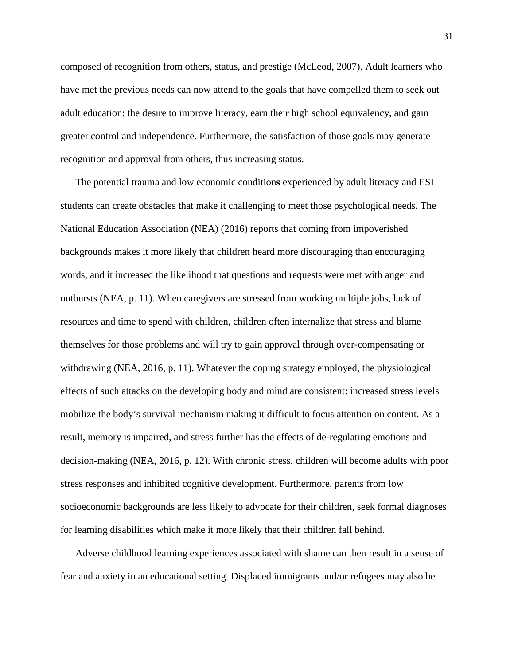composed of recognition from others, status, and prestige (McLeod, 2007). Adult learners who have met the previous needs can now attend to the goals that have compelled them to seek out adult education: the desire to improve literacy, earn their high school equivalency, and gain greater control and independence. Furthermore, the satisfaction of those goals may generate recognition and approval from others, thus increasing status.

The potential trauma and low economic condition**s** experienced by adult literacy and ESL students can create obstacles that make it challenging to meet those psychological needs. The National Education Association (NEA) (2016) reports that coming from impoverished backgrounds makes it more likely that children heard more discouraging than encouraging words, and it increased the likelihood that questions and requests were met with anger and outbursts (NEA, p. 11). When caregivers are stressed from working multiple jobs, lack of resources and time to spend with children, children often internalize that stress and blame themselves for those problems and will try to gain approval through over-compensating or withdrawing (NEA, 2016, p. 11). Whatever the coping strategy employed, the physiological effects of such attacks on the developing body and mind are consistent: increased stress levels mobilize the body's survival mechanism making it difficult to focus attention on content. As a result, memory is impaired, and stress further has the effects of de-regulating emotions and decision-making (NEA, 2016, p. 12). With chronic stress, children will become adults with poor stress responses and inhibited cognitive development. Furthermore, parents from low socioeconomic backgrounds are less likely to advocate for their children, seek formal diagnoses for learning disabilities which make it more likely that their children fall behind.

Adverse childhood learning experiences associated with shame can then result in a sense of fear and anxiety in an educational setting. Displaced immigrants and/or refugees may also be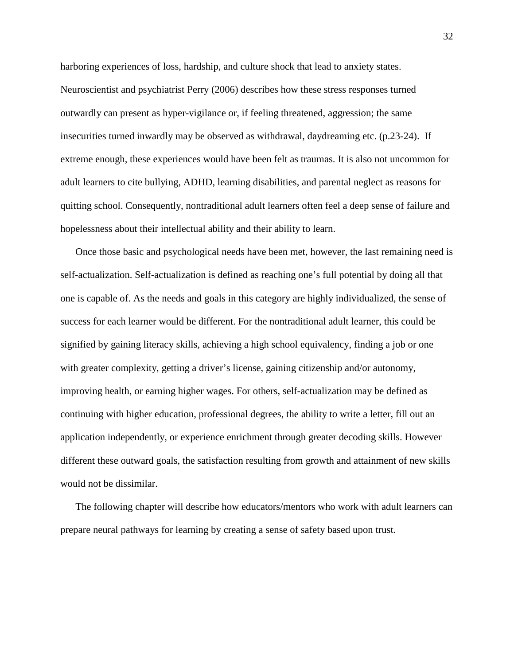harboring experiences of loss, hardship, and culture shock that lead to anxiety states. Neuroscientist and psychiatrist Perry (2006) describes how these stress responses turned outwardly can present as hyper-vigilance or, if feeling threatened, aggression; the same insecurities turned inwardly may be observed as withdrawal, daydreaming etc. (p.23-24). If extreme enough, these experiences would have been felt as traumas. It is also not uncommon for adult learners to cite bullying, ADHD, learning disabilities, and parental neglect as reasons for quitting school. Consequently, nontraditional adult learners often feel a deep sense of failure and hopelessness about their intellectual ability and their ability to learn.

Once those basic and psychological needs have been met, however, the last remaining need is self-actualization. Self-actualization is defined as reaching one's full potential by doing all that one is capable of. As the needs and goals in this category are highly individualized, the sense of success for each learner would be different. For the nontraditional adult learner, this could be signified by gaining literacy skills, achieving a high school equivalency, finding a job or one with greater complexity, getting a driver's license, gaining citizenship and/or autonomy, improving health, or earning higher wages. For others, self-actualization may be defined as continuing with higher education, professional degrees, the ability to write a letter, fill out an application independently, or experience enrichment through greater decoding skills. However different these outward goals, the satisfaction resulting from growth and attainment of new skills would not be dissimilar.

The following chapter will describe how educators/mentors who work with adult learners can prepare neural pathways for learning by creating a sense of safety based upon trust.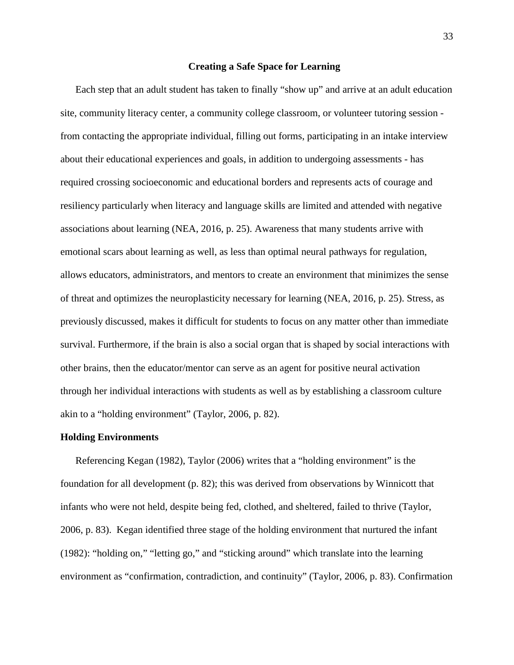#### **Creating a Safe Space for Learning**

Each step that an adult student has taken to finally "show up" and arrive at an adult education site, community literacy center, a community college classroom, or volunteer tutoring session from contacting the appropriate individual, filling out forms, participating in an intake interview about their educational experiences and goals, in addition to undergoing assessments - has required crossing socioeconomic and educational borders and represents acts of courage and resiliency particularly when literacy and language skills are limited and attended with negative associations about learning (NEA, 2016, p. 25). Awareness that many students arrive with emotional scars about learning as well, as less than optimal neural pathways for regulation, allows educators, administrators, and mentors to create an environment that minimizes the sense of threat and optimizes the neuroplasticity necessary for learning (NEA, 2016, p. 25). Stress, as previously discussed, makes it difficult for students to focus on any matter other than immediate survival. Furthermore, if the brain is also a social organ that is shaped by social interactions with other brains, then the educator/mentor can serve as an agent for positive neural activation through her individual interactions with students as well as by establishing a classroom culture akin to a "holding environment" (Taylor, 2006, p. 82).

#### **Holding Environments**

Referencing Kegan (1982), Taylor (2006) writes that a "holding environment" is the foundation for all development (p. 82); this was derived from observations by Winnicott that infants who were not held, despite being fed, clothed, and sheltered, failed to thrive (Taylor, 2006, p. 83). Kegan identified three stage of the holding environment that nurtured the infant (1982): "holding on," "letting go," and "sticking around" which translate into the learning environment as "confirmation, contradiction, and continuity" (Taylor, 2006, p. 83). Confirmation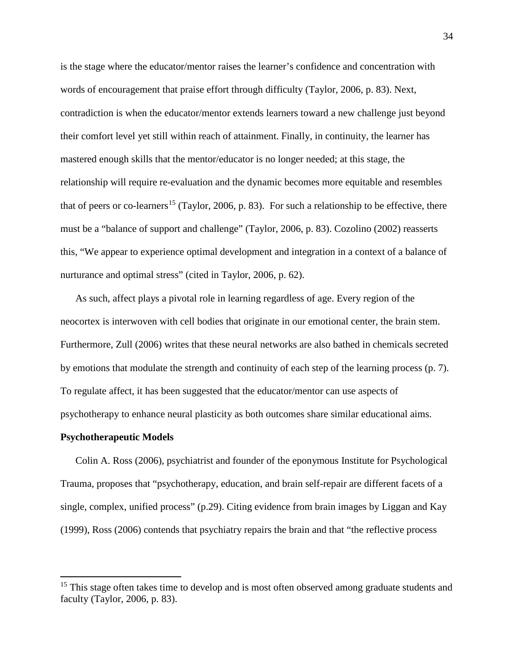is the stage where the educator/mentor raises the learner's confidence and concentration with words of encouragement that praise effort through difficulty (Taylor, 2006, p. 83). Next, contradiction is when the educator/mentor extends learners toward a new challenge just beyond their comfort level yet still within reach of attainment. Finally, in continuity, the learner has mastered enough skills that the mentor/educator is no longer needed; at this stage, the relationship will require re-evaluation and the dynamic becomes more equitable and resembles that of peers or co-learners<sup>[15](#page-34-0)</sup> (Taylor, 2006, p. 83). For such a relationship to be effective, there must be a "balance of support and challenge" (Taylor, 2006, p. 83). Cozolino (2002) reasserts this, "We appear to experience optimal development and integration in a context of a balance of nurturance and optimal stress" (cited in Taylor, 2006, p. 62).

As such, affect plays a pivotal role in learning regardless of age. Every region of the neocortex is interwoven with cell bodies that originate in our emotional center, the brain stem. Furthermore, Zull (2006) writes that these neural networks are also bathed in chemicals secreted by emotions that modulate the strength and continuity of each step of the learning process (p. 7). To regulate affect, it has been suggested that the educator/mentor can use aspects of psychotherapy to enhance neural plasticity as both outcomes share similar educational aims.

#### **Psychotherapeutic Models**

Colin A. Ross (2006), psychiatrist and founder of the eponymous Institute for Psychological Trauma, proposes that "psychotherapy, education, and brain self-repair are different facets of a single, complex, unified process" (p.29). Citing evidence from brain images by Liggan and Kay (1999), Ross (2006) contends that psychiatry repairs the brain and that "the reflective process

<span id="page-34-0"></span><sup>&</sup>lt;sup>15</sup> This stage often takes time to develop and is most often observed among graduate students and faculty (Taylor, 2006, p. 83).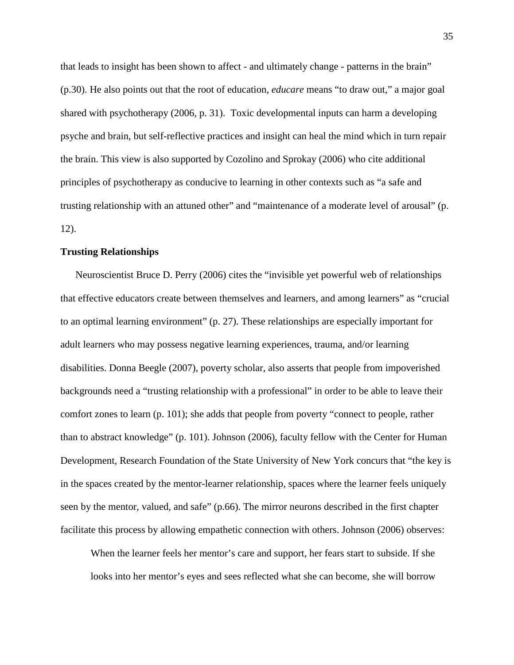that leads to insight has been shown to affect - and ultimately change - patterns in the brain" (p.30). He also points out that the root of education, *educare* means "to draw out," a major goal shared with psychotherapy (2006, p. 31). Toxic developmental inputs can harm a developing psyche and brain, but self-reflective practices and insight can heal the mind which in turn repair the brain. This view is also supported by Cozolino and Sprokay (2006) who cite additional principles of psychotherapy as conducive to learning in other contexts such as "a safe and trusting relationship with an attuned other" and "maintenance of a moderate level of arousal" (p. 12).

# **Trusting Relationships**

Neuroscientist Bruce D. Perry (2006) cites the "invisible yet powerful web of relationships that effective educators create between themselves and learners, and among learners" as "crucial to an optimal learning environment" (p. 27). These relationships are especially important for adult learners who may possess negative learning experiences, trauma, and/or learning disabilities. Donna Beegle (2007), poverty scholar, also asserts that people from impoverished backgrounds need a "trusting relationship with a professional" in order to be able to leave their comfort zones to learn (p. 101); she adds that people from poverty "connect to people, rather than to abstract knowledge" (p. 101). Johnson (2006), faculty fellow with the Center for Human Development, Research Foundation of the State University of New York concurs that "the key is in the spaces created by the mentor-learner relationship, spaces where the learner feels uniquely seen by the mentor, valued, and safe" (p.66). The mirror neurons described in the first chapter facilitate this process by allowing empathetic connection with others. Johnson (2006) observes:

When the learner feels her mentor's care and support, her fears start to subside. If she looks into her mentor's eyes and sees reflected what she can become, she will borrow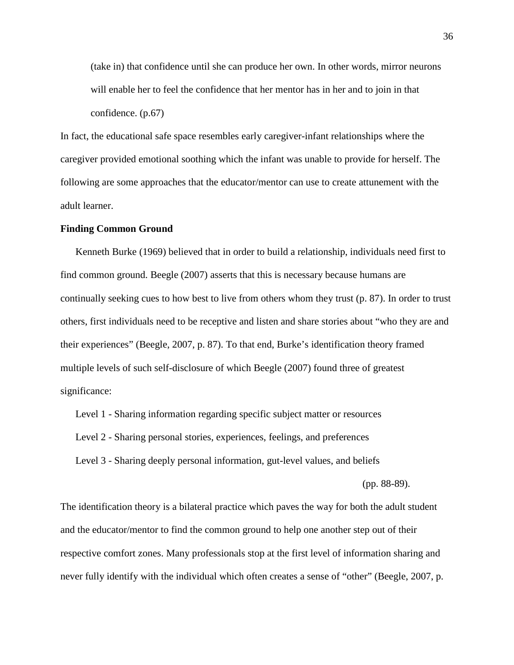(take in) that confidence until she can produce her own. In other words, mirror neurons will enable her to feel the confidence that her mentor has in her and to join in that confidence. (p.67)

In fact, the educational safe space resembles early caregiver-infant relationships where the caregiver provided emotional soothing which the infant was unable to provide for herself. The following are some approaches that the educator/mentor can use to create attunement with the adult learner.

#### **Finding Common Ground**

Kenneth Burke (1969) believed that in order to build a relationship, individuals need first to find common ground. Beegle (2007) asserts that this is necessary because humans are continually seeking cues to how best to live from others whom they trust (p. 87). In order to trust others, first individuals need to be receptive and listen and share stories about "who they are and their experiences" (Beegle, 2007, p. 87). To that end, Burke's identification theory framed multiple levels of such self-disclosure of which Beegle (2007) found three of greatest significance:

Level 1 - Sharing information regarding specific subject matter or resources

Level 2 - Sharing personal stories, experiences, feelings, and preferences

Level 3 - Sharing deeply personal information, gut-level values, and beliefs

(pp. 88-89).

The identification theory is a bilateral practice which paves the way for both the adult student and the educator/mentor to find the common ground to help one another step out of their respective comfort zones. Many professionals stop at the first level of information sharing and never fully identify with the individual which often creates a sense of "other" (Beegle, 2007, p.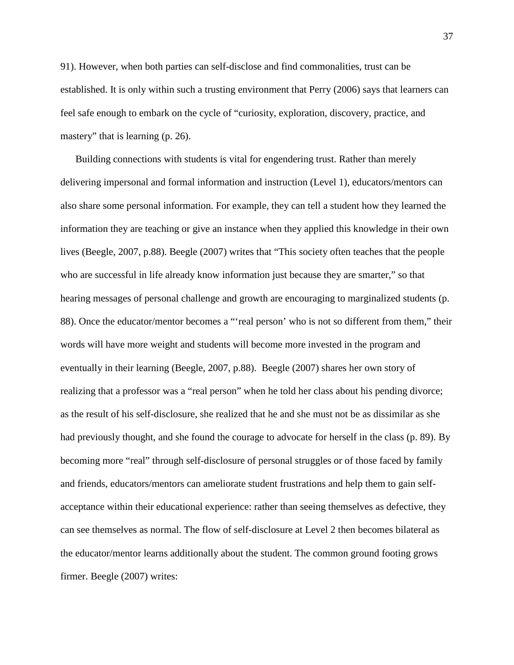91). However, when both parties can self-disclose and find commonalities, trust can be established. It is only within such a trusting environment that Perry (2006) says that learners can feel safe enough to embark on the cycle of "curiosity, exploration, discovery, practice, and mastery" that is learning (p. 26).

Building connections with students is vital for engendering trust. Rather than merely delivering impersonal and formal information and instruction (Level 1), educators/mentors can also share some personal information. For example, they can tell a student how they learned the information they are teaching or give an instance when they applied this knowledge in their own lives (Beegle, 2007, p.88). Beegle (2007) writes that "This society often teaches that the people who are successful in life already know information just because they are smarter," so that hearing messages of personal challenge and growth are encouraging to marginalized students (p. 88). Once the educator/mentor becomes a "'real person' who is not so different from them," their words will have more weight and students will become more invested in the program and eventually in their learning (Beegle, 2007, p.88). Beegle (2007) shares her own story of realizing that a professor was a "real person" when he told her class about his pending divorce; as the result of his self-disclosure, she realized that he and she must not be as dissimilar as she had previously thought, and she found the courage to advocate for herself in the class (p. 89). By becoming more "real" through self-disclosure of personal struggles or of those faced by family and friends, educators/mentors can ameliorate student frustrations and help them to gain selfacceptance within their educational experience: rather than seeing themselves as defective, they can see themselves as normal. The flow of self-disclosure at Level 2 then becomes bilateral as the educator/mentor learns additionally about the student. The common ground footing grows firmer. Beegle (2007) writes: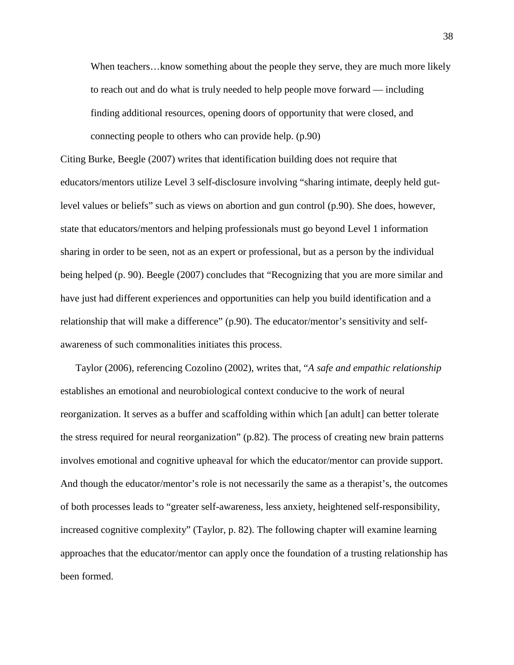When teachers...know something about the people they serve, they are much more likely to reach out and do what is truly needed to help people move forward — including finding additional resources, opening doors of opportunity that were closed, and connecting people to others who can provide help. (p.90)

Citing Burke, Beegle (2007) writes that identification building does not require that educators/mentors utilize Level 3 self-disclosure involving "sharing intimate, deeply held gutlevel values or beliefs" such as views on abortion and gun control (p.90). She does, however, state that educators/mentors and helping professionals must go beyond Level 1 information sharing in order to be seen, not as an expert or professional, but as a person by the individual being helped (p. 90). Beegle (2007) concludes that "Recognizing that you are more similar and have just had different experiences and opportunities can help you build identification and a relationship that will make a difference" (p.90). The educator/mentor's sensitivity and selfawareness of such commonalities initiates this process.

Taylor (2006), referencing Cozolino (2002), writes that, "*A safe and empathic relationship* establishes an emotional and neurobiological context conducive to the work of neural reorganization. It serves as a buffer and scaffolding within which [an adult] can better tolerate the stress required for neural reorganization" (p.82). The process of creating new brain patterns involves emotional and cognitive upheaval for which the educator/mentor can provide support. And though the educator/mentor's role is not necessarily the same as a therapist's, the outcomes of both processes leads to "greater self-awareness, less anxiety, heightened self-responsibility, increased cognitive complexity" (Taylor, p. 82). The following chapter will examine learning approaches that the educator/mentor can apply once the foundation of a trusting relationship has been formed.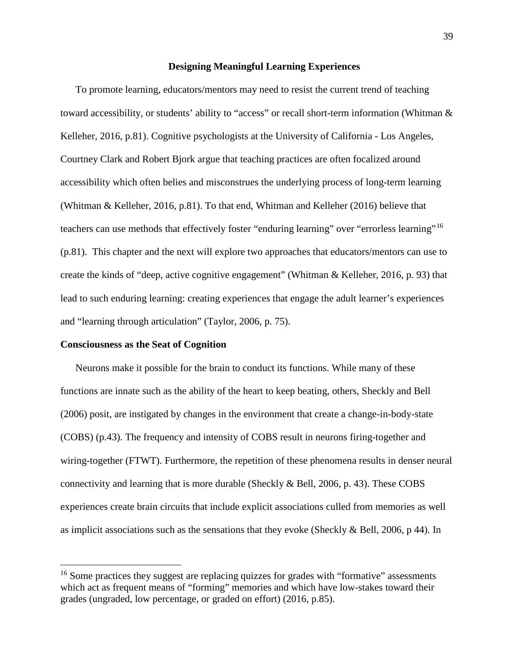# **Designing Meaningful Learning Experiences**

To promote learning, educators/mentors may need to resist the current trend of teaching toward accessibility, or students' ability to "access" or recall short-term information (Whitman & Kelleher, 2016, p.81). Cognitive psychologists at the University of California - Los Angeles, Courtney Clark and Robert Bjork argue that teaching practices are often focalized around accessibility which often belies and misconstrues the underlying process of long-term learning (Whitman & Kelleher, 2016, p.81). To that end, Whitman and Kelleher (2016) believe that teachers can use methods that effectively foster "enduring learning" over "errorless learning"<sup>[16](#page-39-0)</sup> (p.81). This chapter and the next will explore two approaches that educators/mentors can use to create the kinds of "deep, active cognitive engagement" (Whitman & Kelleher, 2016, p. 93) that lead to such enduring learning: creating experiences that engage the adult learner's experiences and "learning through articulation" (Taylor, 2006, p. 75).

#### **Consciousness as the Seat of Cognition**

Neurons make it possible for the brain to conduct its functions. While many of these functions are innate such as the ability of the heart to keep beating, others, Sheckly and Bell (2006) posit, are instigated by changes in the environment that create a change-in-body-state (COBS) (p.43). The frequency and intensity of COBS result in neurons firing-together and wiring-together (FTWT). Furthermore, the repetition of these phenomena results in denser neural connectivity and learning that is more durable (Sheckly & Bell, 2006, p. 43). These COBS experiences create brain circuits that include explicit associations culled from memories as well as implicit associations such as the sensations that they evoke (Sheckly & Bell, 2006, p 44). In

<span id="page-39-0"></span><sup>&</sup>lt;sup>16</sup> Some practices they suggest are replacing quizzes for grades with "formative" assessments which act as frequent means of "forming" memories and which have low-stakes toward their grades (ungraded, low percentage, or graded on effort) (2016, p.85).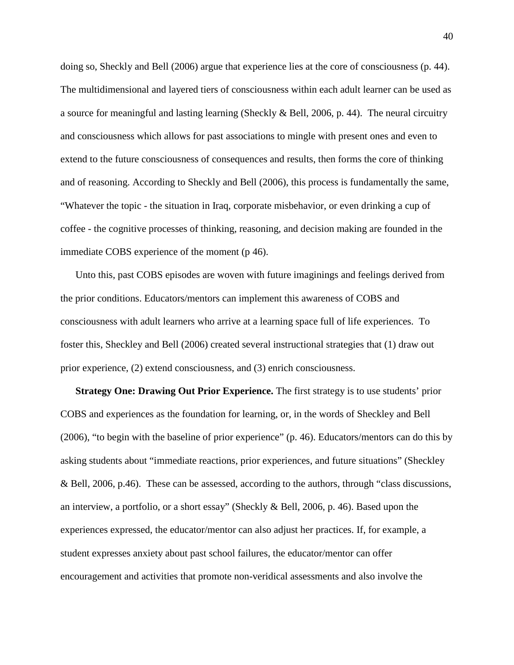doing so, Sheckly and Bell (2006) argue that experience lies at the core of consciousness (p. 44). The multidimensional and layered tiers of consciousness within each adult learner can be used as a source for meaningful and lasting learning (Sheckly & Bell, 2006, p. 44). The neural circuitry and consciousness which allows for past associations to mingle with present ones and even to extend to the future consciousness of consequences and results, then forms the core of thinking and of reasoning. According to Sheckly and Bell (2006), this process is fundamentally the same, "Whatever the topic - the situation in Iraq, corporate misbehavior, or even drinking a cup of coffee - the cognitive processes of thinking, reasoning, and decision making are founded in the immediate COBS experience of the moment (p 46).

Unto this, past COBS episodes are woven with future imaginings and feelings derived from the prior conditions. Educators/mentors can implement this awareness of COBS and consciousness with adult learners who arrive at a learning space full of life experiences. To foster this, Sheckley and Bell (2006) created several instructional strategies that (1) draw out prior experience, (2) extend consciousness, and (3) enrich consciousness.

**Strategy One: Drawing Out Prior Experience.** The first strategy is to use students' prior COBS and experiences as the foundation for learning, or, in the words of Sheckley and Bell (2006), "to begin with the baseline of prior experience" (p. 46). Educators/mentors can do this by asking students about "immediate reactions, prior experiences, and future situations" (Sheckley & Bell, 2006, p.46). These can be assessed, according to the authors, through "class discussions, an interview, a portfolio, or a short essay" (Sheckly & Bell, 2006, p. 46). Based upon the experiences expressed, the educator/mentor can also adjust her practices. If, for example, a student expresses anxiety about past school failures, the educator/mentor can offer encouragement and activities that promote non-veridical assessments and also involve the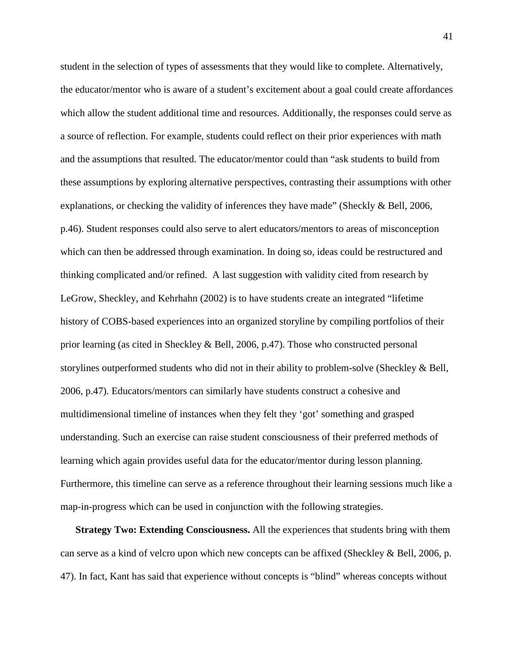student in the selection of types of assessments that they would like to complete. Alternatively, the educator/mentor who is aware of a student's excitement about a goal could create affordances which allow the student additional time and resources. Additionally, the responses could serve as a source of reflection. For example, students could reflect on their prior experiences with math and the assumptions that resulted. The educator/mentor could than "ask students to build from these assumptions by exploring alternative perspectives, contrasting their assumptions with other explanations, or checking the validity of inferences they have made" (Sheckly & Bell, 2006, p.46). Student responses could also serve to alert educators/mentors to areas of misconception which can then be addressed through examination. In doing so, ideas could be restructured and thinking complicated and/or refined. A last suggestion with validity cited from research by LeGrow, Sheckley, and Kehrhahn (2002) is to have students create an integrated "lifetime history of COBS-based experiences into an organized storyline by compiling portfolios of their prior learning (as cited in Sheckley & Bell, 2006, p.47). Those who constructed personal storylines outperformed students who did not in their ability to problem-solve (Sheckley  $\&$  Bell, 2006, p.47). Educators/mentors can similarly have students construct a cohesive and multidimensional timeline of instances when they felt they 'got' something and grasped understanding. Such an exercise can raise student consciousness of their preferred methods of learning which again provides useful data for the educator/mentor during lesson planning. Furthermore, this timeline can serve as a reference throughout their learning sessions much like a map-in-progress which can be used in conjunction with the following strategies.

**Strategy Two: Extending Consciousness.** All the experiences that students bring with them can serve as a kind of velcro upon which new concepts can be affixed (Sheckley & Bell, 2006, p. 47). In fact, Kant has said that experience without concepts is "blind" whereas concepts without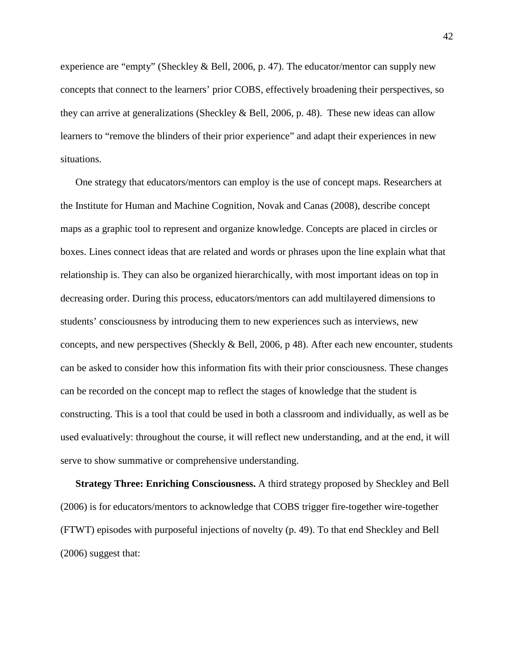experience are "empty" (Sheckley & Bell, 2006, p. 47). The educator/mentor can supply new concepts that connect to the learners' prior COBS, effectively broadening their perspectives, so they can arrive at generalizations (Sheckley & Bell, 2006, p. 48). These new ideas can allow learners to "remove the blinders of their prior experience" and adapt their experiences in new situations.

One strategy that educators/mentors can employ is the use of concept maps. Researchers at the Institute for Human and Machine Cognition, Novak and Canas (2008), describe concept maps as a graphic tool to represent and organize knowledge. Concepts are placed in circles or boxes. Lines connect ideas that are related and words or phrases upon the line explain what that relationship is. They can also be organized hierarchically, with most important ideas on top in decreasing order. During this process, educators/mentors can add multilayered dimensions to students' consciousness by introducing them to new experiences such as interviews, new concepts, and new perspectives (Sheckly & Bell, 2006, p 48). After each new encounter, students can be asked to consider how this information fits with their prior consciousness. These changes can be recorded on the concept map to reflect the stages of knowledge that the student is constructing. This is a tool that could be used in both a classroom and individually, as well as be used evaluatively: throughout the course, it will reflect new understanding, and at the end, it will serve to show summative or comprehensive understanding.

**Strategy Three: Enriching Consciousness.** A third strategy proposed by Sheckley and Bell (2006) is for educators/mentors to acknowledge that COBS trigger fire-together wire-together (FTWT) episodes with purposeful injections of novelty (p. 49). To that end Sheckley and Bell (2006) suggest that: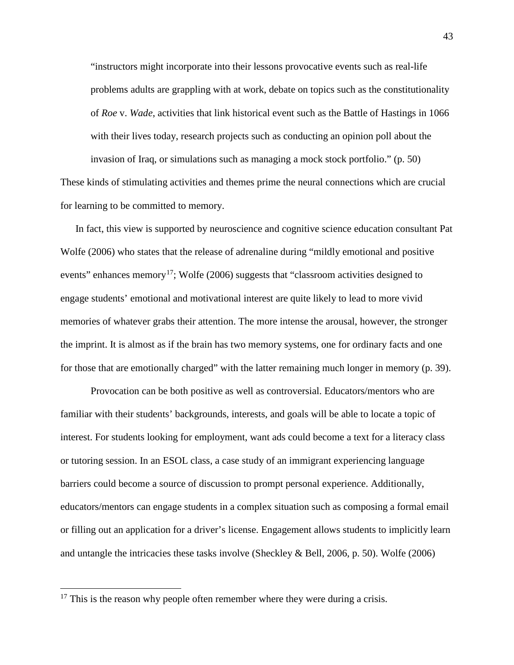"instructors might incorporate into their lessons provocative events such as real-life problems adults are grappling with at work, debate on topics such as the constitutionality of *Roe* v. *Wade*, activities that link historical event such as the Battle of Hastings in 1066 with their lives today, research projects such as conducting an opinion poll about the invasion of Iraq, or simulations such as managing a mock stock portfolio." (p. 50)

These kinds of stimulating activities and themes prime the neural connections which are crucial for learning to be committed to memory.

In fact, this view is supported by neuroscience and cognitive science education consultant Pat Wolfe (2006) who states that the release of adrenaline during "mildly emotional and positive events" enhances memory<sup>17</sup>; Wolfe (2006) suggests that "classroom activities designed to engage students' emotional and motivational interest are quite likely to lead to more vivid memories of whatever grabs their attention. The more intense the arousal, however, the stronger the imprint. It is almost as if the brain has two memory systems, one for ordinary facts and one for those that are emotionally charged" with the latter remaining much longer in memory (p. 39).

Provocation can be both positive as well as controversial. Educators/mentors who are familiar with their students' backgrounds, interests, and goals will be able to locate a topic of interest. For students looking for employment, want ads could become a text for a literacy class or tutoring session. In an ESOL class, a case study of an immigrant experiencing language barriers could become a source of discussion to prompt personal experience. Additionally, educators/mentors can engage students in a complex situation such as composing a formal email or filling out an application for a driver's license. Engagement allows students to implicitly learn and untangle the intricacies these tasks involve (Sheckley & Bell, 2006, p. 50). Wolfe (2006)

<span id="page-43-0"></span> $17$  This is the reason why people often remember where they were during a crisis.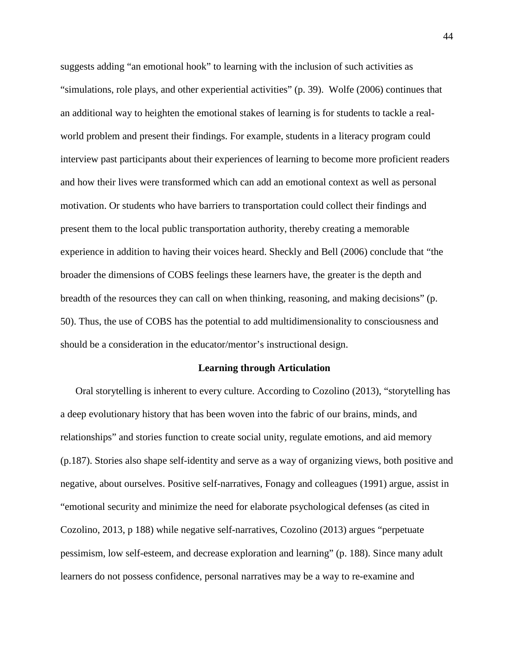suggests adding "an emotional hook" to learning with the inclusion of such activities as "simulations, role plays, and other experiential activities" (p. 39). Wolfe (2006) continues that an additional way to heighten the emotional stakes of learning is for students to tackle a realworld problem and present their findings. For example, students in a literacy program could interview past participants about their experiences of learning to become more proficient readers and how their lives were transformed which can add an emotional context as well as personal motivation. Or students who have barriers to transportation could collect their findings and present them to the local public transportation authority, thereby creating a memorable experience in addition to having their voices heard. Sheckly and Bell (2006) conclude that "the broader the dimensions of COBS feelings these learners have, the greater is the depth and breadth of the resources they can call on when thinking, reasoning, and making decisions" (p. 50). Thus, the use of COBS has the potential to add multidimensionality to consciousness and should be a consideration in the educator/mentor's instructional design.

#### **Learning through Articulation**

Oral storytelling is inherent to every culture. According to Cozolino (2013), "storytelling has a deep evolutionary history that has been woven into the fabric of our brains, minds, and relationships" and stories function to create social unity, regulate emotions, and aid memory (p.187). Stories also shape self-identity and serve as a way of organizing views, both positive and negative, about ourselves. Positive self-narratives, Fonagy and colleagues (1991) argue, assist in "emotional security and minimize the need for elaborate psychological defenses (as cited in Cozolino, 2013, p 188) while negative self-narratives, Cozolino (2013) argues "perpetuate pessimism, low self-esteem, and decrease exploration and learning" (p. 188). Since many adult learners do not possess confidence, personal narratives may be a way to re-examine and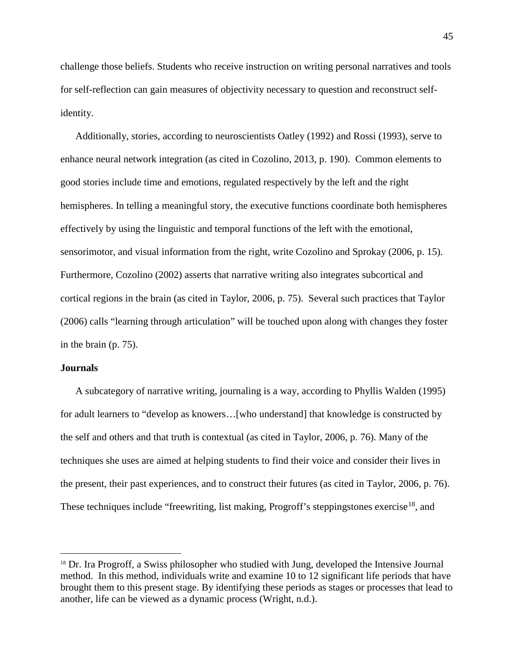challenge those beliefs. Students who receive instruction on writing personal narratives and tools for self-reflection can gain measures of objectivity necessary to question and reconstruct selfidentity.

Additionally, stories, according to neuroscientists Oatley (1992) and Rossi (1993), serve to enhance neural network integration (as cited in Cozolino, 2013, p. 190). Common elements to good stories include time and emotions, regulated respectively by the left and the right hemispheres. In telling a meaningful story, the executive functions coordinate both hemispheres effectively by using the linguistic and temporal functions of the left with the emotional, sensorimotor, and visual information from the right, write Cozolino and Sprokay (2006, p. 15). Furthermore, Cozolino (2002) asserts that narrative writing also integrates subcortical and cortical regions in the brain (as cited in Taylor, 2006, p. 75). Several such practices that Taylor (2006) calls "learning through articulation" will be touched upon along with changes they foster in the brain (p. 75).

#### **Journals**

A subcategory of narrative writing, journaling is a way, according to Phyllis Walden (1995) for adult learners to "develop as knowers…[who understand] that knowledge is constructed by the self and others and that truth is contextual (as cited in Taylor, 2006, p. 76). Many of the techniques she uses are aimed at helping students to find their voice and consider their lives in the present, their past experiences, and to construct their futures (as cited in Taylor, 2006, p. 76). These techniques include "freewriting, list making, Progroff's steppingstones exercise<sup>18</sup>, and

<span id="page-45-0"></span><sup>&</sup>lt;sup>18</sup> Dr. Ira Progroff, a Swiss philosopher who studied with Jung, developed the Intensive Journal method. In this method, individuals write and examine 10 to 12 significant life periods that have brought them to this present stage. By identifying these periods as stages or processes that lead to another, life can be viewed as a dynamic process (Wright, n.d.).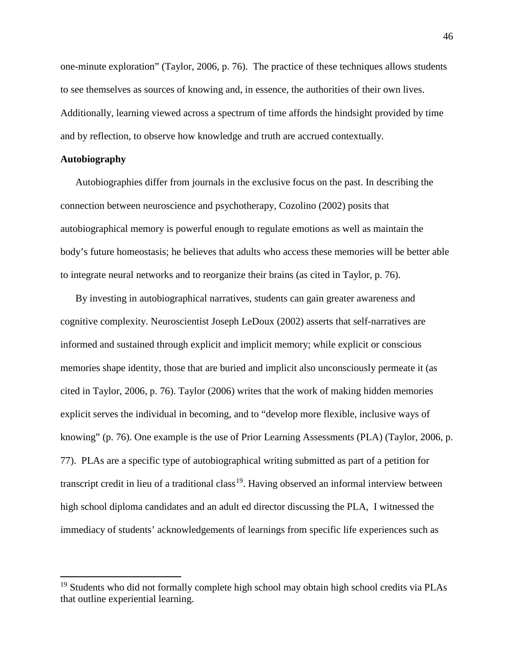one-minute exploration" (Taylor, 2006, p. 76). The practice of these techniques allows students to see themselves as sources of knowing and, in essence, the authorities of their own lives. Additionally, learning viewed across a spectrum of time affords the hindsight provided by time and by reflection, to observe how knowledge and truth are accrued contextually.

# **Autobiography**

Autobiographies differ from journals in the exclusive focus on the past. In describing the connection between neuroscience and psychotherapy, Cozolino (2002) posits that autobiographical memory is powerful enough to regulate emotions as well as maintain the body's future homeostasis; he believes that adults who access these memories will be better able to integrate neural networks and to reorganize their brains (as cited in Taylor, p. 76).

By investing in autobiographical narratives, students can gain greater awareness and cognitive complexity. Neuroscientist Joseph LeDoux (2002) asserts that self-narratives are informed and sustained through explicit and implicit memory; while explicit or conscious memories shape identity, those that are buried and implicit also unconsciously permeate it (as cited in Taylor, 2006, p. 76). Taylor (2006) writes that the work of making hidden memories explicit serves the individual in becoming, and to "develop more flexible, inclusive ways of knowing" (p. 76). One example is the use of Prior Learning Assessments (PLA) (Taylor, 2006, p. 77). PLAs are a specific type of autobiographical writing submitted as part of a petition for transcript credit in lieu of a traditional class<sup>19</sup>. Having observed an informal interview between high school diploma candidates and an adult ed director discussing the PLA, I witnessed the immediacy of students' acknowledgements of learnings from specific life experiences such as

<span id="page-46-0"></span> $19$  Students who did not formally complete high school may obtain high school credits via PLAs that outline experiential learning.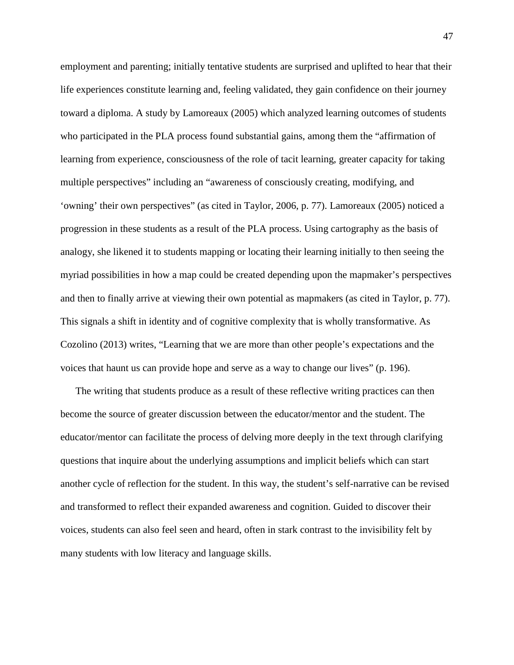employment and parenting; initially tentative students are surprised and uplifted to hear that their life experiences constitute learning and, feeling validated, they gain confidence on their journey toward a diploma. A study by Lamoreaux (2005) which analyzed learning outcomes of students who participated in the PLA process found substantial gains, among them the "affirmation of learning from experience, consciousness of the role of tacit learning, greater capacity for taking multiple perspectives" including an "awareness of consciously creating, modifying, and 'owning' their own perspectives" (as cited in Taylor, 2006, p. 77). Lamoreaux (2005) noticed a progression in these students as a result of the PLA process. Using cartography as the basis of analogy, she likened it to students mapping or locating their learning initially to then seeing the myriad possibilities in how a map could be created depending upon the mapmaker's perspectives and then to finally arrive at viewing their own potential as mapmakers (as cited in Taylor, p. 77). This signals a shift in identity and of cognitive complexity that is wholly transformative. As Cozolino (2013) writes, "Learning that we are more than other people's expectations and the voices that haunt us can provide hope and serve as a way to change our lives" (p. 196).

The writing that students produce as a result of these reflective writing practices can then become the source of greater discussion between the educator/mentor and the student. The educator/mentor can facilitate the process of delving more deeply in the text through clarifying questions that inquire about the underlying assumptions and implicit beliefs which can start another cycle of reflection for the student. In this way, the student's self-narrative can be revised and transformed to reflect their expanded awareness and cognition. Guided to discover their voices, students can also feel seen and heard, often in stark contrast to the invisibility felt by many students with low literacy and language skills.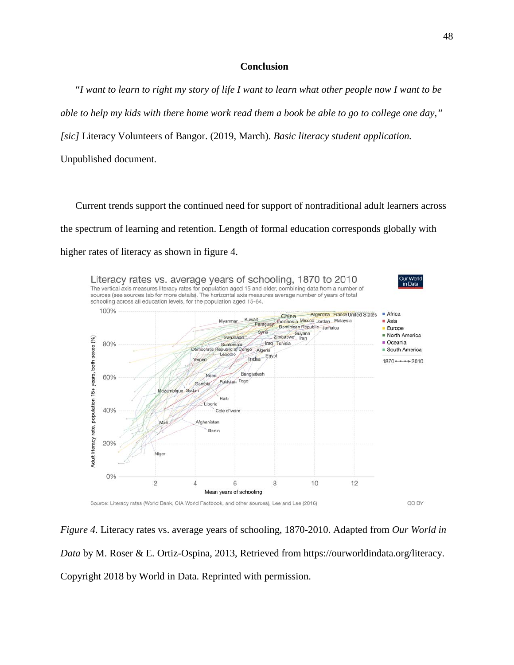# **Conclusion**

"I want to learn to right my story of life I want to learn what other people now I want to be able to help my kids with there home work read them a book be able to go to college one day," *[sic]* Literacy Volunteers of Bangor. (2019, March). *Basic literacy student application.* Unpublished document.

Current trends support the continued need for support of nontraditional adult learners across the spectrum of learning and retention. Length of formal education corresponds globally with higher rates of literacy as shown in figure 4.



*Figure 4*. Literacy rates vs. average years of schooling, 1870-2010. Adapted from *Our World in Data* by M. Roser & E. Ortiz-Ospina, 2013, Retrieved from [https://ourworldindata.org/literacy.](https://ourworldindata.org/literacy) Copyright 2018 by World in Data. Reprinted with permission.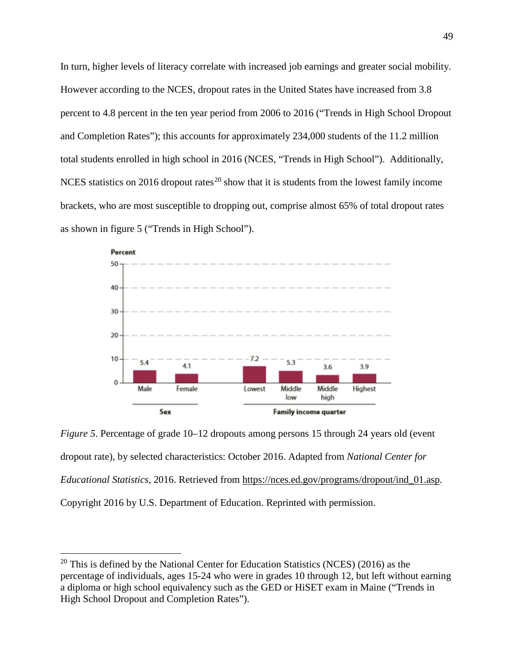In turn, higher levels of literacy correlate with increased job earnings and greater social mobility. However according to the NCES, dropout rates in the United States have increased from 3.8 percent to 4.8 percent in the ten year period from 2006 to 2016 ("Trends in High School Dropout and Completion Rates"); this accounts for approximately 234,000 students of the 11.2 million total students enrolled in high school in 2016 (NCES, "Trends in High School"). Additionally, NCES statistics on [20](#page-49-0)16 dropout rates<sup>20</sup> show that it is students from the lowest family income brackets, who are most susceptible to dropping out, comprise almost 65% of total dropout rates as shown in figure 5 ("Trends in High School").



*Figure 5*. Percentage of grade 10–12 dropouts among persons 15 through 24 years old (event dropout rate), by selected characteristics: October 2016. Adapted from *National Center for Educational Statistics*, 2016. Retrieved from [https://nces.ed.gov/programs/dropout/ind\\_01.asp.](https://nces.ed.gov/programs/dropout/ind_01.asp) Copyright 2016 by U.S. Department of Education. Reprinted with permission.

<span id="page-49-0"></span> $20$  This is defined by the National Center for Education Statistics (NCES) (2016) as the percentage of individuals, ages 15-24 who were in grades 10 through 12, but left without earning a diploma or high school equivalency such as the GED or HiSET exam in Maine ("Trends in High School Dropout and Completion Rates").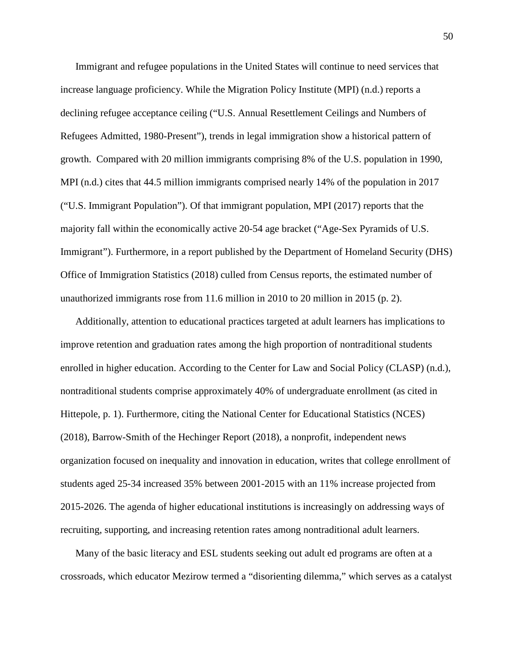Immigrant and refugee populations in the United States will continue to need services that increase language proficiency. While the Migration Policy Institute (MPI) (n.d.) reports a declining refugee acceptance ceiling ("U.S. Annual Resettlement Ceilings and Numbers of Refugees Admitted, 1980-Present"), trends in legal immigration show a historical pattern of growth. Compared with 20 million immigrants comprising 8% of the U.S. population in 1990, MPI (n.d.) cites that 44.5 million immigrants comprised nearly 14% of the population in 2017 ("U.S. Immigrant Population"). Of that immigrant population, MPI (2017) reports that the majority fall within the economically active 20-54 age bracket ("Age-Sex Pyramids of U.S. Immigrant"). Furthermore, in a report published by the Department of Homeland Security (DHS) Office of Immigration Statistics (2018) culled from Census reports, the estimated number of unauthorized immigrants rose from 11.6 million in 2010 to 20 million in 2015 (p. 2).

Additionally, attention to educational practices targeted at adult learners has implications to improve retention and graduation rates among the high proportion of nontraditional students enrolled in higher education. According to the Center for Law and Social Policy (CLASP) (n.d.), nontraditional students comprise approximately 40% of undergraduate enrollment (as cited in Hittepole, p. 1). Furthermore, citing the National Center for Educational Statistics (NCES) (2018), Barrow-Smith of the Hechinger Report (2018), a nonprofit, independent news organization focused on inequality and innovation in education, writes that college enrollment of students aged 25-34 increased 35% between 2001-2015 with an 11% increase projected from 2015-2026. The agenda of higher educational institutions is increasingly on addressing ways of recruiting, supporting, and increasing retention rates among nontraditional adult learners.

Many of the basic literacy and ESL students seeking out adult ed programs are often at a crossroads, which educator Mezirow termed a "disorienting dilemma," which serves as a catalyst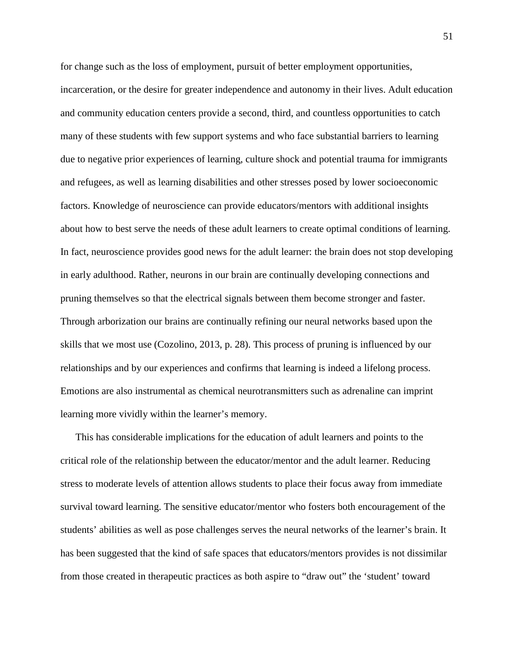for change such as the loss of employment, pursuit of better employment opportunities, incarceration, or the desire for greater independence and autonomy in their lives. Adult education and community education centers provide a second, third, and countless opportunities to catch many of these students with few support systems and who face substantial barriers to learning due to negative prior experiences of learning, culture shock and potential trauma for immigrants and refugees, as well as learning disabilities and other stresses posed by lower socioeconomic factors. Knowledge of neuroscience can provide educators/mentors with additional insights about how to best serve the needs of these adult learners to create optimal conditions of learning. In fact, neuroscience provides good news for the adult learner: the brain does not stop developing in early adulthood. Rather, neurons in our brain are continually developing connections and pruning themselves so that the electrical signals between them become stronger and faster. Through arborization our brains are continually refining our neural networks based upon the skills that we most use (Cozolino, 2013, p. 28). This process of pruning is influenced by our relationships and by our experiences and confirms that learning is indeed a lifelong process. Emotions are also instrumental as chemical neurotransmitters such as adrenaline can imprint learning more vividly within the learner's memory.

This has considerable implications for the education of adult learners and points to the critical role of the relationship between the educator/mentor and the adult learner. Reducing stress to moderate levels of attention allows students to place their focus away from immediate survival toward learning. The sensitive educator/mentor who fosters both encouragement of the students' abilities as well as pose challenges serves the neural networks of the learner's brain. It has been suggested that the kind of safe spaces that educators/mentors provides is not dissimilar from those created in therapeutic practices as both aspire to "draw out" the 'student' toward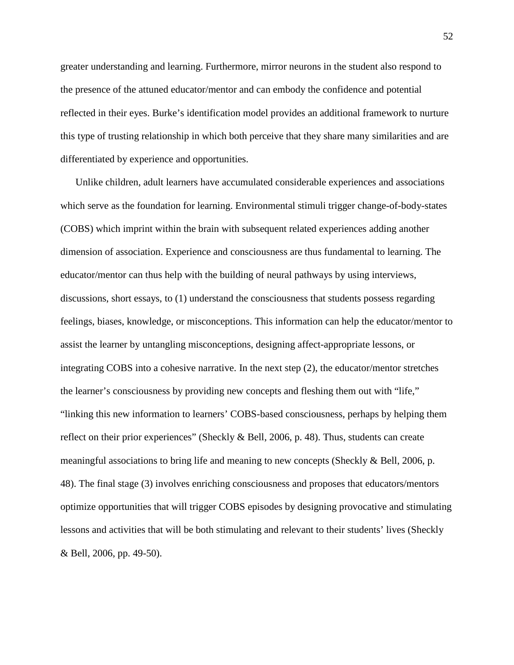greater understanding and learning. Furthermore, mirror neurons in the student also respond to the presence of the attuned educator/mentor and can embody the confidence and potential reflected in their eyes. Burke's identification model provides an additional framework to nurture this type of trusting relationship in which both perceive that they share many similarities and are differentiated by experience and opportunities.

Unlike children, adult learners have accumulated considerable experiences and associations which serve as the foundation for learning. Environmental stimuli trigger change-of-body-states (COBS) which imprint within the brain with subsequent related experiences adding another dimension of association. Experience and consciousness are thus fundamental to learning. The educator/mentor can thus help with the building of neural pathways by using interviews, discussions, short essays, to (1) understand the consciousness that students possess regarding feelings, biases, knowledge, or misconceptions. This information can help the educator/mentor to assist the learner by untangling misconceptions, designing affect-appropriate lessons, or integrating COBS into a cohesive narrative. In the next step (2), the educator/mentor stretches the learner's consciousness by providing new concepts and fleshing them out with "life," "linking this new information to learners' COBS-based consciousness, perhaps by helping them reflect on their prior experiences" (Sheckly & Bell, 2006, p. 48). Thus, students can create meaningful associations to bring life and meaning to new concepts (Sheckly & Bell, 2006, p. 48). The final stage (3) involves enriching consciousness and proposes that educators/mentors optimize opportunities that will trigger COBS episodes by designing provocative and stimulating lessons and activities that will be both stimulating and relevant to their students' lives (Sheckly & Bell, 2006, pp. 49-50).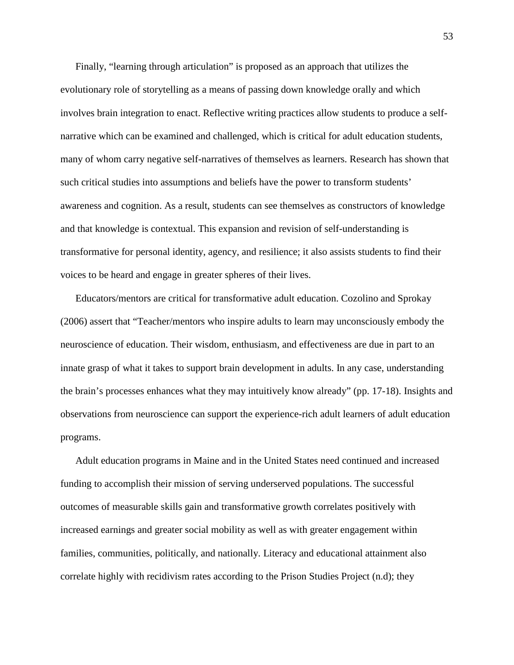Finally, "learning through articulation" is proposed as an approach that utilizes the evolutionary role of storytelling as a means of passing down knowledge orally and which involves brain integration to enact. Reflective writing practices allow students to produce a selfnarrative which can be examined and challenged, which is critical for adult education students, many of whom carry negative self-narratives of themselves as learners. Research has shown that such critical studies into assumptions and beliefs have the power to transform students' awareness and cognition. As a result, students can see themselves as constructors of knowledge and that knowledge is contextual. This expansion and revision of self-understanding is transformative for personal identity, agency, and resilience; it also assists students to find their voices to be heard and engage in greater spheres of their lives.

Educators/mentors are critical for transformative adult education. Cozolino and Sprokay (2006) assert that "Teacher/mentors who inspire adults to learn may unconsciously embody the neuroscience of education. Their wisdom, enthusiasm, and effectiveness are due in part to an innate grasp of what it takes to support brain development in adults. In any case, understanding the brain's processes enhances what they may intuitively know already" (pp. 17-18). Insights and observations from neuroscience can support the experience-rich adult learners of adult education programs.

Adult education programs in Maine and in the United States need continued and increased funding to accomplish their mission of serving underserved populations. The successful outcomes of measurable skills gain and transformative growth correlates positively with increased earnings and greater social mobility as well as with greater engagement within families, communities, politically, and nationally. Literacy and educational attainment also correlate highly with recidivism rates according to the Prison Studies Project (n.d); they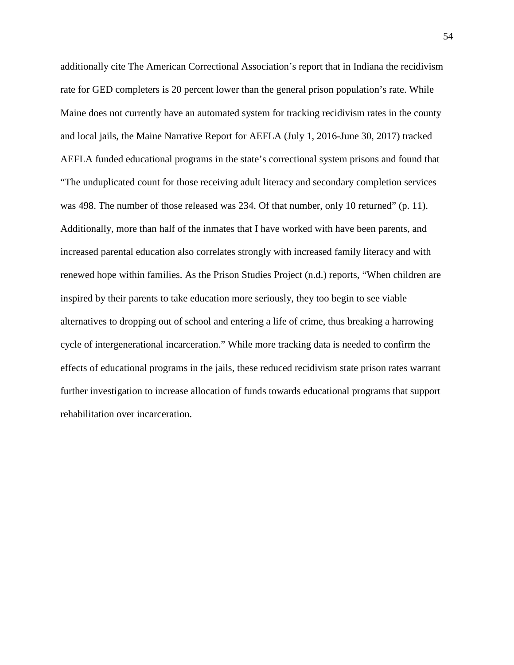additionally cite The American Correctional Association's report that in Indiana the recidivism rate for GED completers is 20 percent lower than the general prison population's rate. While Maine does not currently have an automated system for tracking recidivism rates in the county and local jails, the Maine Narrative Report for AEFLA (July 1, 2016-June 30, 2017) tracked AEFLA funded educational programs in the state's correctional system prisons and found that "The unduplicated count for those receiving adult literacy and secondary completion services was 498. The number of those released was 234. Of that number, only 10 returned" (p. 11). Additionally, more than half of the inmates that I have worked with have been parents, and increased parental education also correlates strongly with increased family literacy and with renewed hope within families. As the Prison Studies Project (n.d.) reports, "When children are inspired by their parents to take education more seriously, they too begin to see viable alternatives to dropping out of school and entering a life of crime, thus breaking a harrowing cycle of intergenerational incarceration." While more tracking data is needed to confirm the effects of educational programs in the jails, these reduced recidivism state prison rates warrant further investigation to increase allocation of funds towards educational programs that support rehabilitation over incarceration.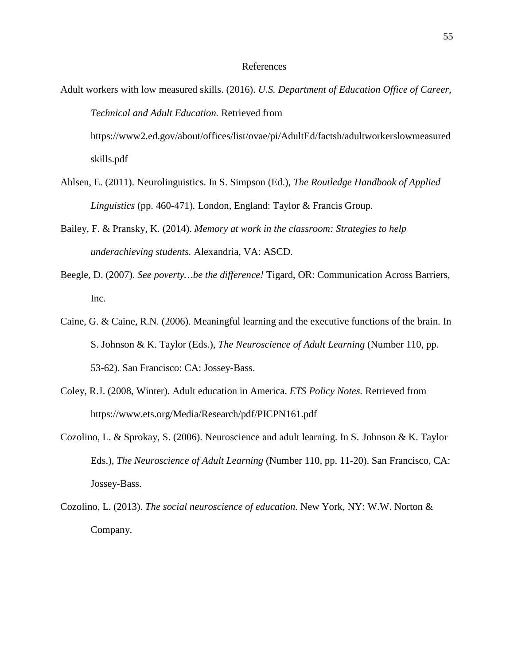#### References

- Adult workers with low measured skills. (2016). *U.S. Department of Education Office of Career, Technical and Adult Education.* Retrieved from [https://www2.ed.gov/about/o](https://www2.ed.gov/about/)ffices/list/ovae/pi/AdultEd/factsh/adultworkerslowmeasured skills.pdf
- Ahlsen, E. (2011). Neurolinguistics. In S. Simpson (Ed.), *The Routledge Handbook of Applied Linguistics* (pp. 460-471)*.* London, England: Taylor & Francis Group.
- Bailey, F. & Pransky, K. (2014). *Memory at work in the classroom: Strategies to help underachieving students.* Alexandria, VA: ASCD.
- Beegle, D. (2007). *See poverty…be the difference!* Tigard, OR: Communication Across Barriers, Inc.
- Caine, G. & Caine, R.N. (2006). Meaningful learning and the executive functions of the brain. In S. Johnson & K. Taylor (Eds.), *The Neuroscience of Adult Learning* (Number 110, pp. 53-62). San Francisco: CA: Jossey-Bass.
- Coley, R.J. (2008, Winter). Adult education in America. *ETS Policy Notes.* Retrieved from <https://www.ets.org/Media/Research/pdf/PICPN161.pdf>
- Cozolino, L. & Sprokay, S. (2006). Neuroscience and adult learning. In S. Johnson & K. Taylor Eds.), *The Neuroscience of Adult Learning* (Number 110, pp. 11-20). San Francisco, CA: Jossey-Bass.
- Cozolino, L. (2013). *The social neuroscience of education.* New York, NY: W.W. Norton & Company.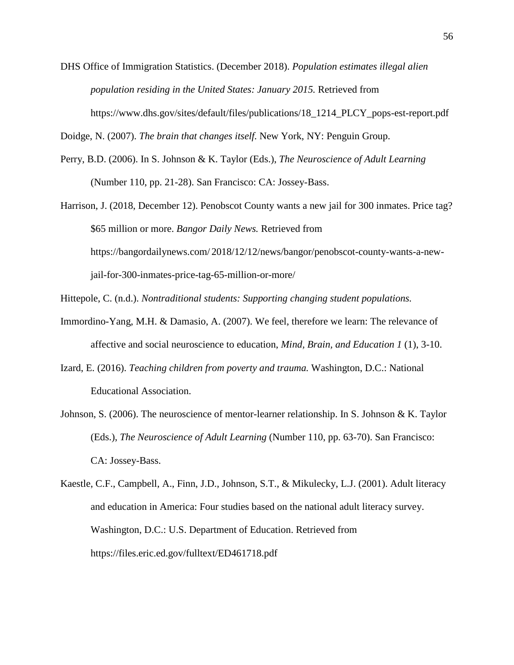DHS Office of Immigration Statistics. (December 2018). *Population estimates illegal alien population residing in the United States: January 2015.* Retrieved from https://www.dhs.gov/sites/default/files/publications/18\_1214\_PLCY\_pops-est-report.pdf

Doidge, N. (2007). *The brain that changes itself.* New York, NY: Penguin Group.

- Perry, B.D. (2006). In S. Johnson & K. Taylor (Eds.), *The Neuroscience of Adult Learning*  (Number 110, pp. 21-28). San Francisco: CA: Jossey-Bass.
- Harrison, J. (2018, December 12). Penobscot County wants a new jail for 300 inmates. Price tag? \$65 million or more. *Bangor Daily News.* Retrieved from <https://bangordailynews.com/> 2018/12/12/news/bangor/penobscot-county-wants-a-newjail-for-300-inmates-price-tag-65-million-or-more/
- Hittepole, C. (n.d.). *Nontraditional students: Supporting changing student populations.*
- Immordino-Yang, M.H. & Damasio, A. (2007). We feel, therefore we learn: The relevance of affective and social neuroscience to education, *Mind, Brain, and Education 1* (1), 3-10.
- Izard, E. (2016). *Teaching children from poverty and trauma.* Washington, D.C.: National Educational Association.
- Johnson, S. (2006). The neuroscience of mentor-learner relationship. In S. Johnson & K. Taylor (Eds.), *The Neuroscience of Adult Learning* (Number 110, pp. 63-70). San Francisco: CA: Jossey-Bass.
- Kaestle, C.F., Campbell, A., Finn, J.D., Johnson, S.T., & Mikulecky, L.J. (2001). Adult literacy and education in America: Four studies based on the national adult literacy survey. Washington, D.C.: U.S. Department of Education. Retrieved from [https://files.eric.ed.gov/f](https://files.eric.ed.gov/)ulltext/ED461718.pdf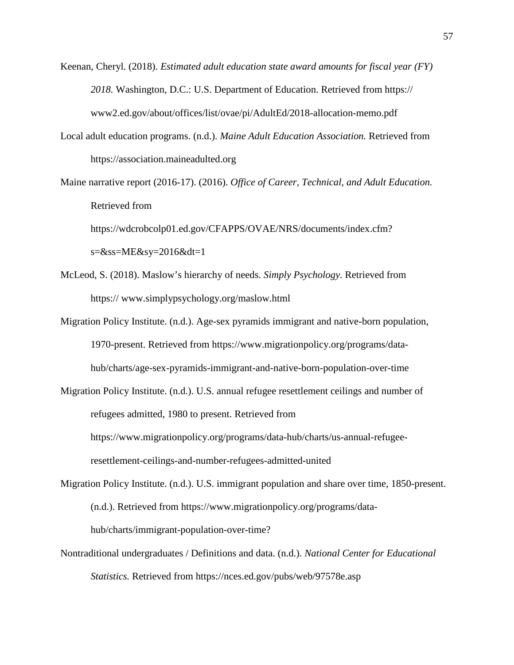- Keenan, Cheryl. (2018). *Estimated adult education state award amounts for fiscal year (FY) 2018.* Washington, D.C.: U.S. Department of Education. Retrieved from https:// [www2.ed.gov/about/offices/list/ovae/pi/AdultEd/2018-allocation-memo.pdf](http://www2.ed.gov/about/offices/list/ovae/pi/AdultEd/2018-allocation-memo.pdf)
- Local adult education programs. (n.d.). *Maine Adult Education Association.* Retrieved from [https://association.maineadulted.org](https://association.maineadulted.org/)
- Maine narrative report (2016-17). (2016). *Office of Career, Technical, and Adult Education.* Retrieved from <https://wdcrobcolp01.ed.gov/CFAPPS/OVAE/NRS/documents/index.cfm?>  $s = \&ss = ME\&s = 2016\&dt = 1$
- McLeod, S. (2018). Maslow's hierarchy of needs. *Simply Psychology.* Retrieved from https:// [www.simplypsychology.org/maslow.html](http://www.simplypsychology.org/maslow.html)
- Migration Policy Institute. (n.d.). Age-sex pyramids immigrant and native-born population, 1970-present. Retrieved from https://www.migrationpolicy.org/programs/datahub/charts/age-sex-pyramids-immigrant-and-native-born-population-over-time
- Migration Policy Institute. (n.d.). U.S. annual refugee resettlement ceilings and number of refugees admitted, 1980 to present. Retrieved from [https://www.migrationpolicy.org/programs/data-hub/charts/us-annual-refugee](https://www.migrationpolicy.org/programs/data-hub/charts/us-annual-refugee-resettlement-ceilings-and-number-refugees-admitted-united)[resettlement-ceilings-and-number-refugees-admitted-united](https://www.migrationpolicy.org/programs/data-hub/charts/us-annual-refugee-resettlement-ceilings-and-number-refugees-admitted-united)
- Migration Policy Institute. (n.d.). U.S. immigrant population and share over time, 1850-present. (n.d.). Retrieved from https://www.migrationpolicy.org/programs/datahub/charts/immigrant-population-over-time?
- Nontraditional undergraduates / Definitions and data. (n.d.). *National Center for Educational Statistics.* Retrieved from https://nces.ed.gov/pubs/web/97578e.asp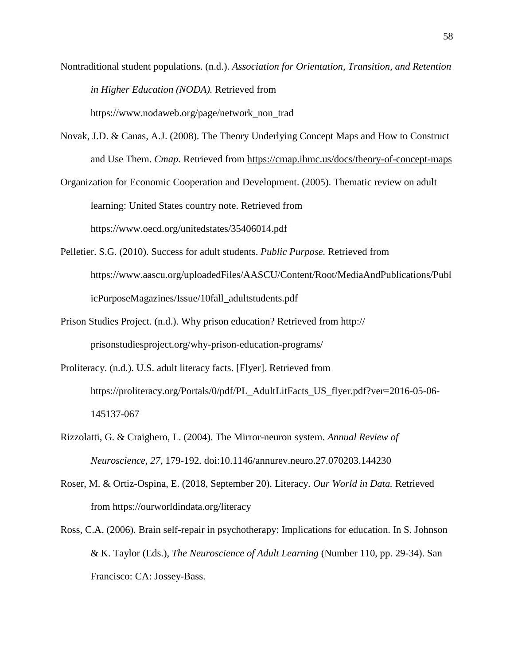- Nontraditional student populations. (n.d.). *Association for Orientation, Transition, and Retention in Higher Education (NODA).* Retrieved from [https://www.nodaweb.org/page/n](https://www.nodaweb.org/page/)etwork\_non\_trad
- Novak, J.D. & Canas, A.J. (2008). The Theory Underlying Concept Maps and How to Construct and Use Them. *Cmap.* Retrieved from <https://cmap.ihmc.us/docs/theory-of-concept-maps>
- Organization for Economic Cooperation and Development. (2005). Thematic review on adult learning: United States country note. Retrieved from https:/[/www.oecd.org/unitedstates/35406014.pdf](http://www.oecd.org/unitedstates/35406014.pdf)
- Pelletier. S.G. (2010). Success for adult students. *Public Purpose.* Retrieved from https://www.aascu.org/uploadedFiles/AASCU/Content/Root/MediaAndPublications/Publ icPurposeMagazines/Issue/10fall\_adultstudents.pdf
- Prison Studies Project. (n.d.). Why prison education? Retrieved from http:// prisonstudiesproject.org/why-prison-education-programs/
- Proliteracy. (n.d.). U.S. adult literacy facts. [Flyer]. Retrieved from [https://proliteracy.org/Portals/0](https://proliteracy.org/Portals/)/pdf/PL\_AdultLitFacts\_US\_flyer.pdf?ver=2016-05-06- 145137-067
- Rizzolatti, G. & Craighero, L. (2004). The Mirror-neuron system. *Annual Review of Neuroscience, 27,* 179-192*.* doi:10.1146/annurev.neuro.27.070203.144230
- Roser, M. & Ortiz-Ospina, E. (2018, September 20). Literacy. *Our World in Data.* Retrieved from <https://ourworldindata.org/literacy>
- Ross, C.A. (2006). Brain self-repair in psychotherapy: Implications for education. In S. Johnson & K. Taylor (Eds.), *The Neuroscience of Adult Learning* (Number 110, pp. 29-34). San Francisco: CA: Jossey-Bass.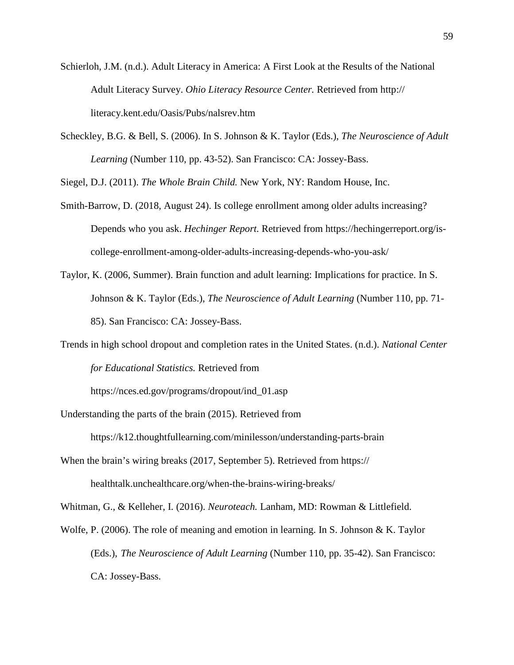- Schierloh, J.M. (n.d.). Adult Literacy in America: A First Look at the Results of the National Adult Literacy Survey. *Ohio Literacy Resource Center.* Retrieved from http:// [literacy.kent.edu/Oasis/Pubs/nalsrev.htm](http://literacy.kent.edu/Oasis/Pubs/nalsrev.htm)
- Scheckley, B.G. & Bell, S. (2006). In S. Johnson & K. Taylor (Eds.), *The Neuroscience of Adult Learning* (Number 110, pp. 43-52). San Francisco: CA: Jossey-Bass.

Siegel, D.J. (2011). *The Whole Brain Child.* New York, NY: Random House, Inc.

- Smith-Barrow, D. (2018, August 24). Is college enrollment among older adults increasing? Depends who you ask. *Hechinger Report.* Retrieved from [https://hechingerreport.org/is](https://hechingerreport.org/is-)college-enrollment-among-older-adults-increasing-depends-who-you-ask/
- Taylor, K. (2006, Summer). Brain function and adult learning: Implications for practice. In S. Johnson & K. Taylor (Eds.), *The Neuroscience of Adult Learning* (Number 110, pp. 71- 85). San Francisco: CA: Jossey-Bass.
- Trends in high school dropout and completion rates in the United States. (n.d.). *National Center for Educational Statistics.* Retrieved from

https://nces.ed.gov/programs/dropout/ind\_01.asp

Understanding the parts of the brain (2015). Retrieved from

<https://k12.thoughtfullearning.com/minilesson/understanding-parts-brain>

When the brain's wiring breaks (2017, September 5). Retrieved from https:// healthtalk.unchealthcare.org/when-the-brains-wiring-breaks/

Whitman, G., & Kelleher, I. (2016). *Neuroteach.* Lanham, MD: Rowman & Littlefield.

Wolfe, P. (2006). The role of meaning and emotion in learning. In S. Johnson & K. Taylor (Eds.), *The Neuroscience of Adult Learning* (Number 110, pp. 35-42). San Francisco: CA: Jossey-Bass.